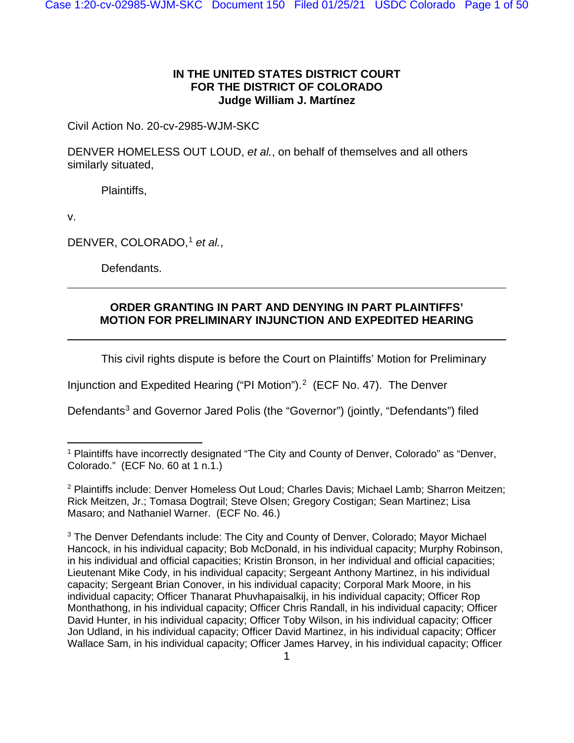## **IN THE UNITED STATES DISTRICT COURT FOR THE DISTRICT OF COLORADO Judge William J. Martínez**

Civil Action No. 20-cv-2985-WJM-SKC

DENVER HOMELESS OUT LOUD, *et al.*, on behalf of themselves and all others similarly situated,

Plaintiffs,

v.

DENVER, COLORADO,<sup>[1](#page-0-0)</sup> et al.,

Defendants.

# **ORDER GRANTING IN PART AND DENYING IN PART PLAINTIFFS' MOTION FOR PRELIMINARY INJUNCTION AND EXPEDITED HEARING**

This civil rights dispute is before the Court on Plaintiffs' Motion for Preliminary

Injunction and Expedited Hearing ("PI Motion").<sup>[2](#page-0-1)</sup> (ECF No. 47). The Denver

Defendants<sup>[3](#page-0-2)</sup> and Governor Jared Polis (the "Governor") (jointly, "Defendants") filed

<span id="page-0-0"></span><sup>&</sup>lt;sup>1</sup> Plaintiffs have incorrectly designated "The City and County of Denver, Colorado" as "Denver, Colorado." (ECF No. 60 at 1 n.1.)

<span id="page-0-1"></span><sup>2</sup> Plaintiffs include: Denver Homeless Out Loud; Charles Davis; Michael Lamb; Sharron Meitzen; Rick Meitzen, Jr.; Tomasa Dogtrail; Steve Olsen; Gregory Costigan; Sean Martinez; Lisa Masaro; and Nathaniel Warner. (ECF No. 46.)

<span id="page-0-2"></span><sup>&</sup>lt;sup>3</sup> The Denver Defendants include: The City and County of Denver, Colorado; Mayor Michael Hancock, in his individual capacity; Bob McDonald, in his individual capacity; Murphy Robinson, in his individual and official capacities; Kristin Bronson, in her individual and official capacities; Lieutenant Mike Cody, in his individual capacity; Sergeant Anthony Martinez, in his individual capacity; Sergeant Brian Conover, in his individual capacity; Corporal Mark Moore, in his individual capacity; Officer Thanarat Phuvhapaisalkij, in his individual capacity; Officer Rop Monthathong, in his individual capacity; Officer Chris Randall, in his individual capacity; Officer David Hunter, in his individual capacity; Officer Toby Wilson, in his individual capacity; Officer Jon Udland, in his individual capacity; Officer David Martinez, in his individual capacity; Officer Wallace Sam, in his individual capacity; Officer James Harvey, in his individual capacity; Officer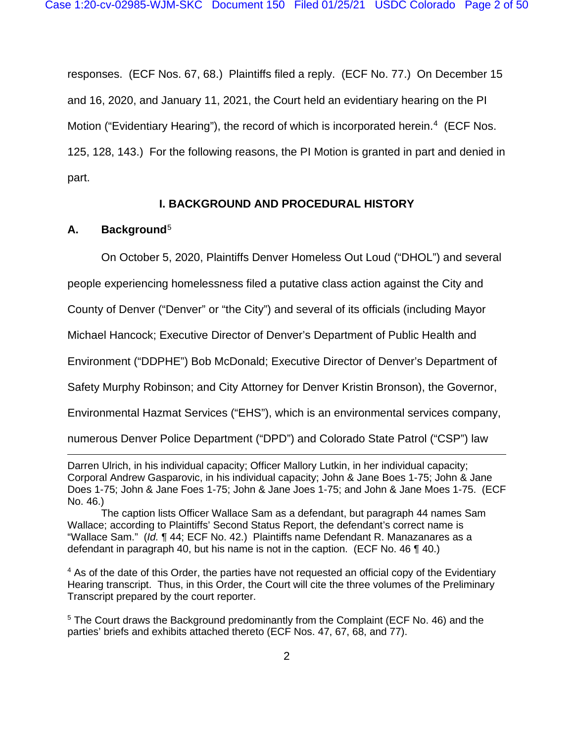responses. (ECF Nos. 67, 68.) Plaintiffs filed a reply. (ECF No. 77.) On December 15 and 16, 2020, and January 11, 2021, the Court held an evidentiary hearing on the PI Motion ("Evidentiary Hearing"), the record of which is incorporated herein.<sup>[4](#page-1-0)</sup> (ECF Nos. 125, 128, 143.) For the following reasons, the PI Motion is granted in part and denied in part.

# **I. BACKGROUND AND PROCEDURAL HISTORY**

# **A. Background**[5](#page-1-1)

On October 5, 2020, Plaintiffs Denver Homeless Out Loud ("DHOL") and several

people experiencing homelessness filed a putative class action against the City and

County of Denver ("Denver" or "the City") and several of its officials (including Mayor

Michael Hancock; Executive Director of Denver's Department of Public Health and

Environment ("DDPHE") Bob McDonald; Executive Director of Denver's Department of

Safety Murphy Robinson; and City Attorney for Denver Kristin Bronson), the Governor,

Environmental Hazmat Services ("EHS"), which is an environmental services company,

numerous Denver Police Department ("DPD") and Colorado State Patrol ("CSP") law

Darren Ulrich, in his individual capacity; Officer Mallory Lutkin, in her individual capacity; Corporal Andrew Gasparovic, in his individual capacity; John & Jane Boes 1-75; John & Jane Does 1-75; John & Jane Foes 1-75; John & Jane Joes 1-75; and John & Jane Moes 1-75. (ECF No. 46.)

The caption lists Officer Wallace Sam as a defendant, but paragraph 44 names Sam Wallace; according to Plaintiffs' Second Status Report, the defendant's correct name is "Wallace Sam." (*Id.* ¶ 44; ECF No. 42.) Plaintiffs name Defendant R. Manazanares as a defendant in paragraph 40, but his name is not in the caption. (ECF No. 46 ¶ 40.)

<span id="page-1-0"></span><sup>4</sup> As of the date of this Order, the parties have not requested an official copy of the Evidentiary Hearing transcript. Thus, in this Order, the Court will cite the three volumes of the Preliminary Transcript prepared by the court reporter.

<span id="page-1-1"></span><sup>5</sup> The Court draws the Background predominantly from the Complaint (ECF No. 46) and the parties' briefs and exhibits attached thereto (ECF Nos. 47, 67, 68, and 77).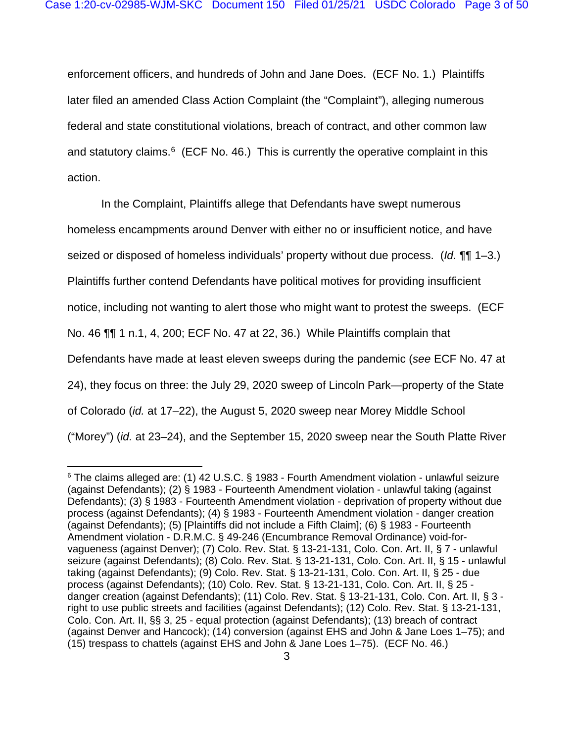enforcement officers, and hundreds of John and Jane Does. (ECF No. 1.) Plaintiffs later filed an amended Class Action Complaint (the "Complaint"), alleging numerous federal and state constitutional violations, breach of contract, and other common law and statutory claims. $6$  (ECF No. 46.) This is currently the operative complaint in this action.

In the Complaint, Plaintiffs allege that Defendants have swept numerous

homeless encampments around Denver with either no or insufficient notice, and have

seized or disposed of homeless individuals' property without due process. (*Id.* ¶¶ 1–3.)

Plaintiffs further contend Defendants have political motives for providing insufficient

notice, including not wanting to alert those who might want to protest the sweeps. (ECF

No. 46 ¶¶ 1 n.1, 4, 200; ECF No. 47 at 22, 36.) While Plaintiffs complain that

Defendants have made at least eleven sweeps during the pandemic (*see* ECF No. 47 at

24), they focus on three: the July 29, 2020 sweep of Lincoln Park—property of the State

of Colorado (*id.* at 17–22), the August 5, 2020 sweep near Morey Middle School

("Morey") (*id.* at 23–24), and the September 15, 2020 sweep near the South Platte River

<span id="page-2-0"></span> $6$  The claims alleged are: (1) 42 U.S.C. § 1983 - Fourth Amendment violation - unlawful seizure (against Defendants); (2) § 1983 - Fourteenth Amendment violation - unlawful taking (against Defendants); (3) § 1983 - Fourteenth Amendment violation - deprivation of property without due process (against Defendants); (4) § 1983 - Fourteenth Amendment violation - danger creation (against Defendants); (5) [Plaintiffs did not include a Fifth Claim]; (6) § 1983 - Fourteenth Amendment violation - D.R.M.C. § 49-246 (Encumbrance Removal Ordinance) void-forvagueness (against Denver); (7) Colo. Rev. Stat. § 13-21-131, Colo. Con. Art. II, § 7 - unlawful seizure (against Defendants); (8) Colo. Rev. Stat. § 13-21-131, Colo. Con. Art. II, § 15 - unlawful taking (against Defendants); (9) Colo. Rev. Stat. § 13-21-131, Colo. Con. Art. II, § 25 - due process (against Defendants); (10) Colo. Rev. Stat. § 13-21-131, Colo. Con. Art. II, § 25 danger creation (against Defendants); (11) Colo. Rev. Stat. § 13-21-131, Colo. Con. Art. II, § 3 right to use public streets and facilities (against Defendants); (12) Colo. Rev. Stat. § 13-21-131, Colo. Con. Art. II, §§ 3, 25 - equal protection (against Defendants); (13) breach of contract (against Denver and Hancock); (14) conversion (against EHS and John & Jane Loes 1–75); and (15) trespass to chattels (against EHS and John & Jane Loes 1–75). (ECF No. 46.)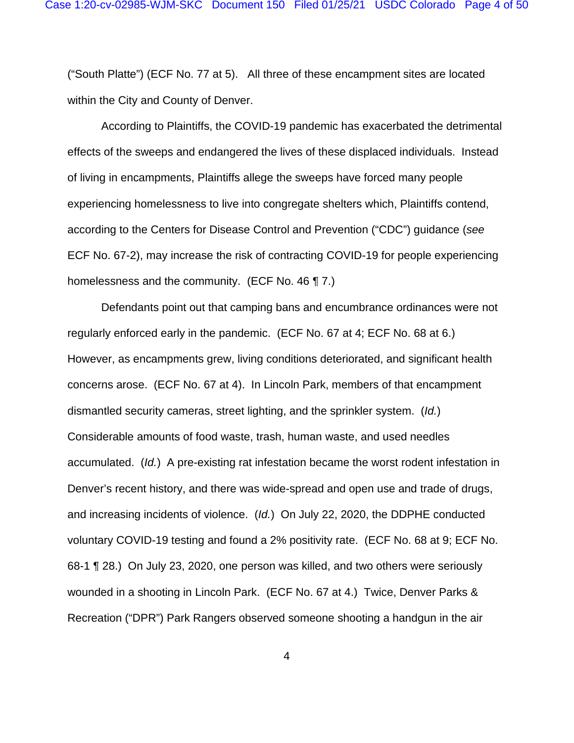("South Platte") (ECF No. 77 at 5). All three of these encampment sites are located within the City and County of Denver.

According to Plaintiffs, the COVID-19 pandemic has exacerbated the detrimental effects of the sweeps and endangered the lives of these displaced individuals. Instead of living in encampments, Plaintiffs allege the sweeps have forced many people experiencing homelessness to live into congregate shelters which, Plaintiffs contend, according to the Centers for Disease Control and Prevention ("CDC") guidance (*see* ECF No. 67-2), may increase the risk of contracting COVID-19 for people experiencing homelessness and the community. (ECF No. 46 ¶ 7.)

Defendants point out that camping bans and encumbrance ordinances were not regularly enforced early in the pandemic. (ECF No. 67 at 4; ECF No. 68 at 6.) However, as encampments grew, living conditions deteriorated, and significant health concerns arose. (ECF No. 67 at 4). In Lincoln Park, members of that encampment dismantled security cameras, street lighting, and the sprinkler system. (*Id.*) Considerable amounts of food waste, trash, human waste, and used needles accumulated. (*Id.*) A pre-existing rat infestation became the worst rodent infestation in Denver's recent history, and there was wide-spread and open use and trade of drugs, and increasing incidents of violence. (*Id.*) On July 22, 2020, the DDPHE conducted voluntary COVID-19 testing and found a 2% positivity rate. (ECF No. 68 at 9; ECF No. 68-1 ¶ 28.) On July 23, 2020, one person was killed, and two others were seriously wounded in a shooting in Lincoln Park. (ECF No. 67 at 4.) Twice, Denver Parks & Recreation ("DPR") Park Rangers observed someone shooting a handgun in the air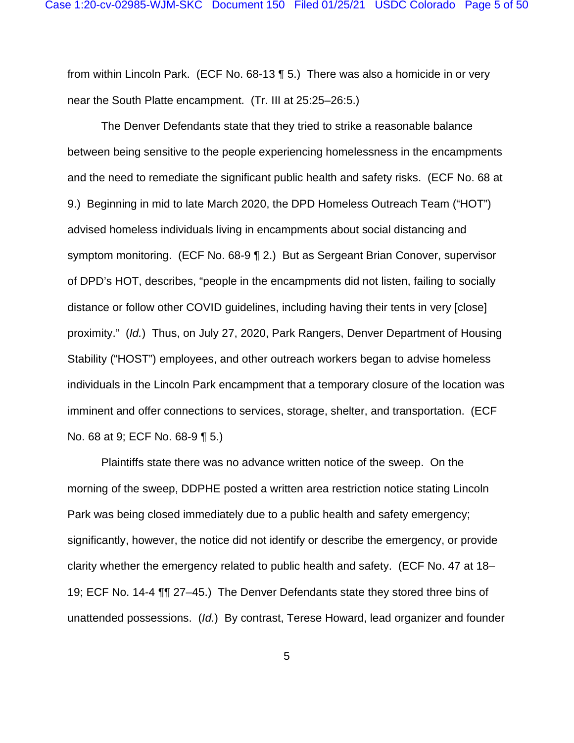from within Lincoln Park. (ECF No. 68-13 ¶ 5.) There was also a homicide in or very near the South Platte encampment. (Tr. III at 25:25–26:5.)

The Denver Defendants state that they tried to strike a reasonable balance between being sensitive to the people experiencing homelessness in the encampments and the need to remediate the significant public health and safety risks. (ECF No. 68 at 9.) Beginning in mid to late March 2020, the DPD Homeless Outreach Team ("HOT") advised homeless individuals living in encampments about social distancing and symptom monitoring. (ECF No. 68-9 ¶ 2.) But as Sergeant Brian Conover, supervisor of DPD's HOT, describes, "people in the encampments did not listen, failing to socially distance or follow other COVID guidelines, including having their tents in very [close] proximity." (*Id.*) Thus, on July 27, 2020, Park Rangers, Denver Department of Housing Stability ("HOST") employees, and other outreach workers began to advise homeless individuals in the Lincoln Park encampment that a temporary closure of the location was imminent and offer connections to services, storage, shelter, and transportation. (ECF No. 68 at 9; ECF No. 68-9 ¶ 5.)

Plaintiffs state there was no advance written notice of the sweep. On the morning of the sweep, DDPHE posted a written area restriction notice stating Lincoln Park was being closed immediately due to a public health and safety emergency; significantly, however, the notice did not identify or describe the emergency, or provide clarity whether the emergency related to public health and safety. (ECF No. 47 at 18– 19; ECF No. 14-4 ¶¶ 27–45.) The Denver Defendants state they stored three bins of unattended possessions. (*Id.*) By contrast, Terese Howard, lead organizer and founder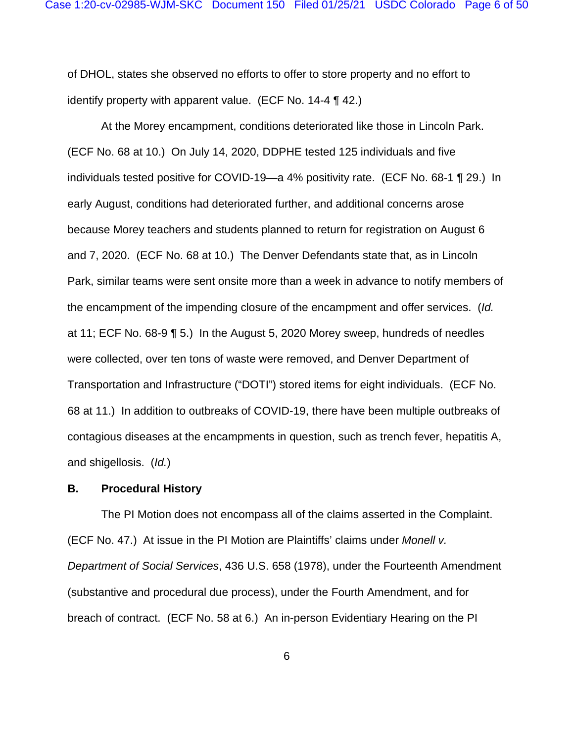of DHOL, states she observed no efforts to offer to store property and no effort to identify property with apparent value. (ECF No. 14-4 ¶ 42.)

At the Morey encampment, conditions deteriorated like those in Lincoln Park. (ECF No. 68 at 10.) On July 14, 2020, DDPHE tested 125 individuals and five individuals tested positive for COVID-19—a 4% positivity rate. (ECF No. 68-1 ¶ 29.) In early August, conditions had deteriorated further, and additional concerns arose because Morey teachers and students planned to return for registration on August 6 and 7, 2020. (ECF No. 68 at 10.) The Denver Defendants state that, as in Lincoln Park, similar teams were sent onsite more than a week in advance to notify members of the encampment of the impending closure of the encampment and offer services. (*Id.* at 11; ECF No. 68-9 ¶ 5.) In the August 5, 2020 Morey sweep, hundreds of needles were collected, over ten tons of waste were removed, and Denver Department of Transportation and Infrastructure ("DOTI") stored items for eight individuals. (ECF No. 68 at 11.) In addition to outbreaks of COVID-19, there have been multiple outbreaks of contagious diseases at the encampments in question, such as trench fever, hepatitis A, and shigellosis. (*Id.*)

### **B. Procedural History**

The PI Motion does not encompass all of the claims asserted in the Complaint. (ECF No. 47.) At issue in the PI Motion are Plaintiffs' claims under *Monell v. Department of Social Services*, 436 U.S. 658 (1978), under the Fourteenth Amendment (substantive and procedural due process), under the Fourth Amendment, and for breach of contract. (ECF No. 58 at 6.) An in-person Evidentiary Hearing on the PI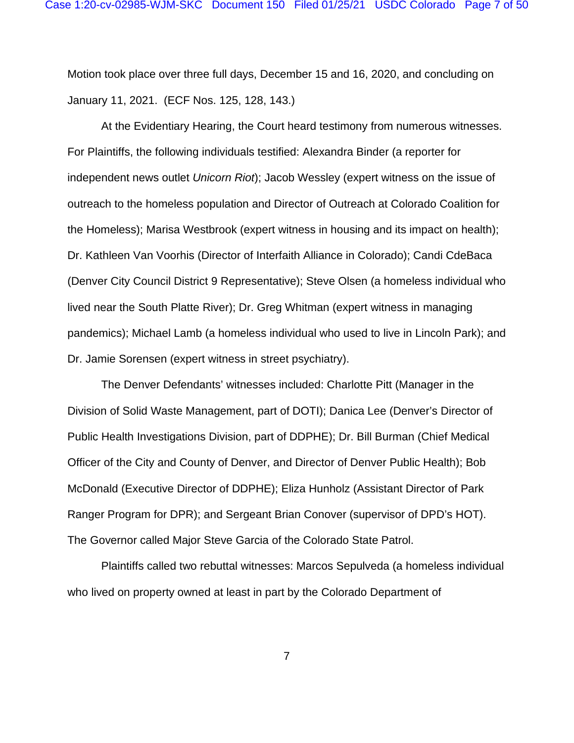Motion took place over three full days, December 15 and 16, 2020, and concluding on January 11, 2021. (ECF Nos. 125, 128, 143.)

At the Evidentiary Hearing, the Court heard testimony from numerous witnesses. For Plaintiffs, the following individuals testified: Alexandra Binder (a reporter for independent news outlet *Unicorn Riot*); Jacob Wessley (expert witness on the issue of outreach to the homeless population and Director of Outreach at Colorado Coalition for the Homeless); Marisa Westbrook (expert witness in housing and its impact on health); Dr. Kathleen Van Voorhis (Director of Interfaith Alliance in Colorado); Candi CdeBaca (Denver City Council District 9 Representative); Steve Olsen (a homeless individual who lived near the South Platte River); Dr. Greg Whitman (expert witness in managing pandemics); Michael Lamb (a homeless individual who used to live in Lincoln Park); and Dr. Jamie Sorensen (expert witness in street psychiatry).

The Denver Defendants' witnesses included: Charlotte Pitt (Manager in the Division of Solid Waste Management, part of DOTI); Danica Lee (Denver's Director of Public Health Investigations Division, part of DDPHE); Dr. Bill Burman (Chief Medical Officer of the City and County of Denver, and Director of Denver Public Health); Bob McDonald (Executive Director of DDPHE); Eliza Hunholz (Assistant Director of Park Ranger Program for DPR); and Sergeant Brian Conover (supervisor of DPD's HOT). The Governor called Major Steve Garcia of the Colorado State Patrol.

Plaintiffs called two rebuttal witnesses: Marcos Sepulveda (a homeless individual who lived on property owned at least in part by the Colorado Department of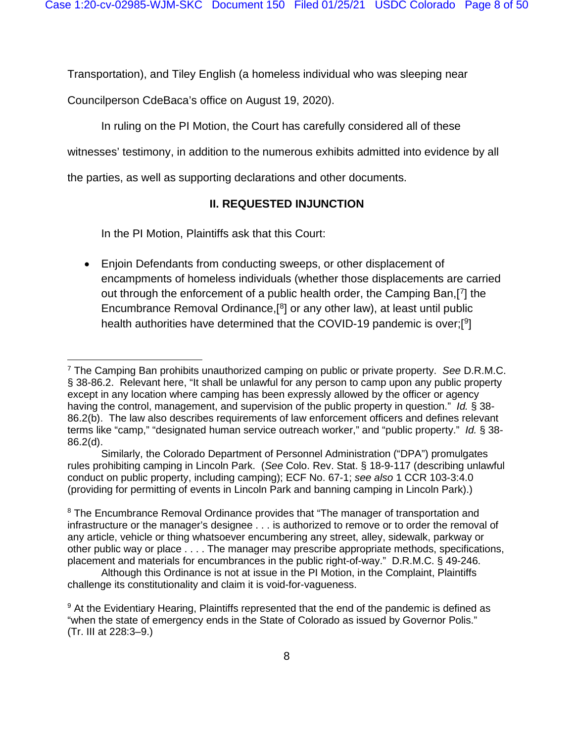Transportation), and Tiley English (a homeless individual who was sleeping near

Councilperson CdeBaca's office on August 19, 2020).

In ruling on the PI Motion, the Court has carefully considered all of these

witnesses' testimony, in addition to the numerous exhibits admitted into evidence by all

the parties, as well as supporting declarations and other documents.

# **II. REQUESTED INJUNCTION**

In the PI Motion, Plaintiffs ask that this Court:

• Enjoin Defendants from conducting sweeps, or other displacement of encampments of homeless individuals (whether those displacements are carried out through the enforcement of a public health order, the Camping Ban,[ [7](#page-7-0)] the Encumbrance Removal Ordinance,[ [8](#page-7-1)] or any other law), at least until public health authorities have determined that the COVID-19 pandemic is over;[<sup>9</sup>]

Similarly, the Colorado Department of Personnel Administration ("DPA") promulgates rules prohibiting camping in Lincoln Park. (*See* Colo. Rev. Stat. § 18-9-117 (describing unlawful conduct on public property, including camping); ECF No. 67-1; *see also* 1 CCR 103-3:4.0 (providing for permitting of events in Lincoln Park and banning camping in Lincoln Park).)

<span id="page-7-1"></span><sup>8</sup> The Encumbrance Removal Ordinance provides that "The manager of transportation and infrastructure or the manager's designee . . . is authorized to remove or to order the removal of any article, vehicle or thing whatsoever encumbering any street, alley, sidewalk, parkway or other public way or place . . . . The manager may prescribe appropriate methods, specifications, placement and materials for encumbrances in the public right-of-way." D.R.M.C. § 49-246.

<span id="page-7-0"></span><sup>7</sup> The Camping Ban prohibits unauthorized camping on public or private property. *See* D.R.M.C. § 38-86.2. Relevant here, "It shall be unlawful for any person to camp upon any public property except in any location where camping has been expressly allowed by the officer or agency having the control, management, and supervision of the public property in question." *Id.* § 38- 86.2(b). The law also describes requirements of law enforcement officers and defines relevant terms like "camp," "designated human service outreach worker," and "public property." *Id.* § 38- 86.2(d).

Although this Ordinance is not at issue in the PI Motion, in the Complaint, Plaintiffs challenge its constitutionality and claim it is void-for-vagueness.

<span id="page-7-2"></span><sup>&</sup>lt;sup>9</sup> At the Evidentiary Hearing, Plaintiffs represented that the end of the pandemic is defined as "when the state of emergency ends in the State of Colorado as issued by Governor Polis." (Tr. III at 228:3–9.)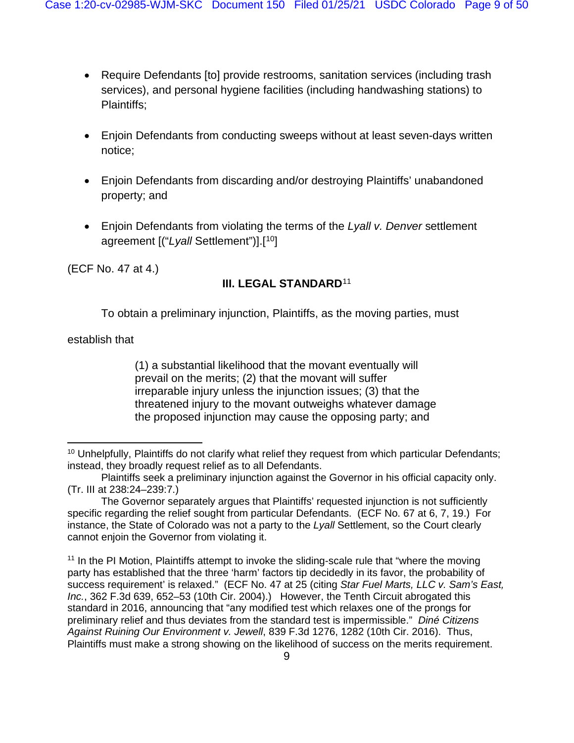- Require Defendants [to] provide restrooms, sanitation services (including trash services), and personal hygiene facilities (including handwashing stations) to Plaintiffs;
- Enjoin Defendants from conducting sweeps without at least seven-days written notice;
- Enjoin Defendants from discarding and/or destroying Plaintiffs' unabandoned property; and
- Enjoin Defendants from violating the terms of the *Lyall v. Denver* settlement agreement [("*Lyall* Settlement")].[ [10\]](#page-8-0)

(ECF No. 47 at 4.)

# **III. LEGAL STANDARD**[11](#page-8-1)

To obtain a preliminary injunction, Plaintiffs, as the moving parties, must

establish that

(1) a substantial likelihood that the movant eventually will prevail on the merits; (2) that the movant will suffer irreparable injury unless the injunction issues; (3) that the threatened injury to the movant outweighs whatever damage the proposed injunction may cause the opposing party; and

<span id="page-8-0"></span> $10$  Unhelpfully, Plaintiffs do not clarify what relief they request from which particular Defendants; instead, they broadly request relief as to all Defendants.

Plaintiffs seek a preliminary injunction against the Governor in his official capacity only. (Tr. III at 238:24–239:7.)

The Governor separately argues that Plaintiffs' requested injunction is not sufficiently specific regarding the relief sought from particular Defendants. (ECF No. 67 at 6, 7, 19.) For instance, the State of Colorado was not a party to the *Lyall* Settlement, so the Court clearly cannot enjoin the Governor from violating it.

<span id="page-8-1"></span><sup>&</sup>lt;sup>11</sup> In the PI Motion, Plaintiffs attempt to invoke the sliding-scale rule that "where the moving" party has established that the three 'harm' factors tip decidedly in its favor, the probability of success requirement' is relaxed." (ECF No. 47 at 25 (citing *Star Fuel Marts, LLC v. Sam's East, Inc.*, 362 F.3d 639, 652–53 (10th Cir. 2004).) However, the Tenth Circuit abrogated this standard in 2016, announcing that "any modified test which relaxes one of the prongs for preliminary relief and thus deviates from the standard test is impermissible." *Diné Citizens Against Ruining Our Environment v. Jewell*, 839 F.3d 1276, 1282 (10th Cir. 2016). Thus, Plaintiffs must make a strong showing on the likelihood of success on the merits requirement.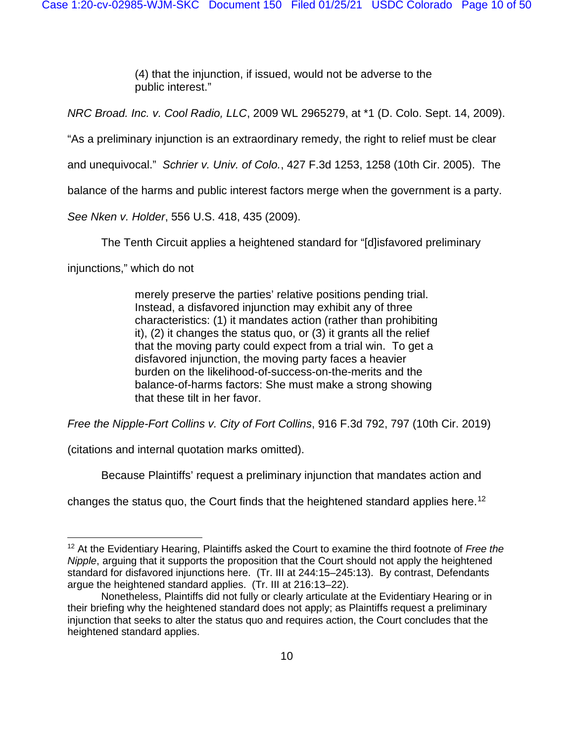(4) that the injunction, if issued, would not be adverse to the public interest."

*NRC Broad. Inc. v. Cool Radio, LLC*, 2009 WL 2965279, at \*1 (D. Colo. Sept. 14, 2009).

"As a preliminary injunction is an extraordinary remedy, the right to relief must be clear

and unequivocal." *Schrier v. Univ. of Colo.*, 427 F.3d 1253, 1258 (10th Cir. 2005). The

balance of the harms and public interest factors merge when the government is a party.

*See Nken v. Holder*, 556 U.S. 418, 435 (2009).

The Tenth Circuit applies a heightened standard for "[d]isfavored preliminary

injunctions," which do not

merely preserve the parties' relative positions pending trial. Instead, a disfavored injunction may exhibit any of three characteristics: (1) it mandates action (rather than prohibiting it), (2) it changes the status quo, or (3) it grants all the relief that the moving party could expect from a trial win. To get a disfavored injunction, the moving party faces a heavier burden on the likelihood-of-success-on-the-merits and the balance-of-harms factors: She must make a strong showing that these tilt in her favor.

*Free the Nipple-Fort Collins v. City of Fort Collins*, 916 F.3d 792, 797 (10th Cir. 2019)

(citations and internal quotation marks omitted).

Because Plaintiffs' request a preliminary injunction that mandates action and

changes the status quo, the Court finds that the heightened standard applies here.[12](#page-9-0)

<span id="page-9-0"></span><sup>12</sup> At the Evidentiary Hearing, Plaintiffs asked the Court to examine the third footnote of *Free the Nipple*, arguing that it supports the proposition that the Court should not apply the heightened standard for disfavored injunctions here. (Tr. III at 244:15–245:13). By contrast, Defendants argue the heightened standard applies. (Tr. III at 216:13–22).

Nonetheless, Plaintiffs did not fully or clearly articulate at the Evidentiary Hearing or in their briefing why the heightened standard does not apply; as Plaintiffs request a preliminary injunction that seeks to alter the status quo and requires action, the Court concludes that the heightened standard applies.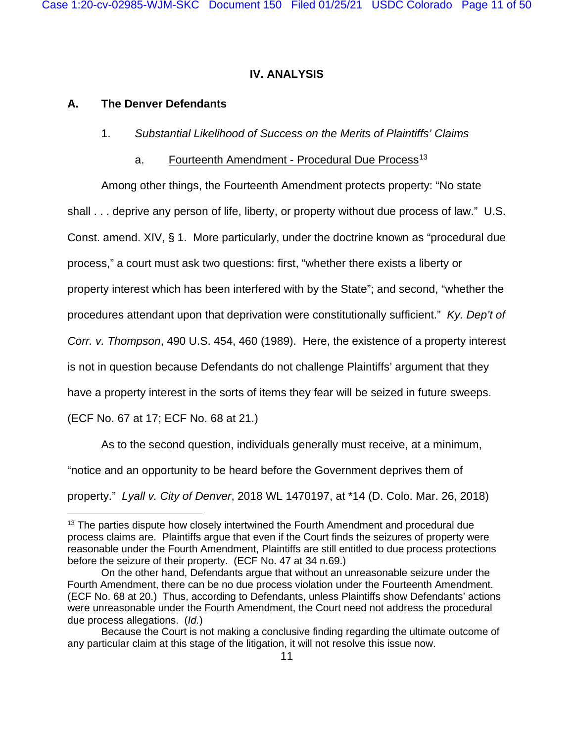### **IV. ANALYSIS**

### **A. The Denver Defendants**

- 1. *Substantial Likelihood of Success on the Merits of Plaintiffs' Claims*
	- a. Fourteenth Amendment Procedural Due Process<sup>[13](#page-10-0)</sup>

Among other things, the Fourteenth Amendment protects property: "No state shall . . . deprive any person of life, liberty, or property without due process of law." U.S. Const. amend. XIV, § 1. More particularly, under the doctrine known as "procedural due process," a court must ask two questions: first, "whether there exists a liberty or property interest which has been interfered with by the State"; and second, "whether the procedures attendant upon that deprivation were constitutionally sufficient." *Ky. Dep't of Corr. v. Thompson*, 490 U.S. 454, 460 (1989). Here, the existence of a property interest is not in question because Defendants do not challenge Plaintiffs' argument that they

have a property interest in the sorts of items they fear will be seized in future sweeps.

(ECF No. 67 at 17; ECF No. 68 at 21.)

As to the second question, individuals generally must receive, at a minimum,

"notice and an opportunity to be heard before the Government deprives them of

property." *Lyall v. City of Denver*, 2018 WL 1470197, at \*14 (D. Colo. Mar. 26, 2018)

<span id="page-10-0"></span><sup>&</sup>lt;sup>13</sup> The parties dispute how closely intertwined the Fourth Amendment and procedural due process claims are. Plaintiffs argue that even if the Court finds the seizures of property were reasonable under the Fourth Amendment, Plaintiffs are still entitled to due process protections before the seizure of their property. (ECF No. 47 at 34 n.69.)

On the other hand, Defendants argue that without an unreasonable seizure under the Fourth Amendment, there can be no due process violation under the Fourteenth Amendment. (ECF No. 68 at 20.) Thus, according to Defendants, unless Plaintiffs show Defendants' actions were unreasonable under the Fourth Amendment, the Court need not address the procedural due process allegations. (*Id.*)

Because the Court is not making a conclusive finding regarding the ultimate outcome of any particular claim at this stage of the litigation, it will not resolve this issue now.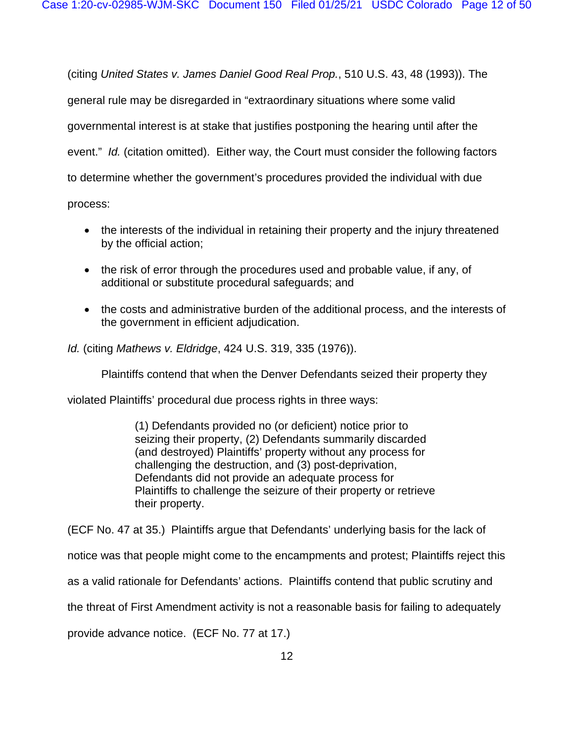(citing *United States v. James Daniel Good Real Prop.*, 510 U.S. 43, 48 (1993)). The

general rule may be disregarded in "extraordinary situations where some valid

governmental interest is at stake that justifies postponing the hearing until after the

event." *Id.* (citation omitted). Either way, the Court must consider the following factors

to determine whether the government's procedures provided the individual with due

process:

- the interests of the individual in retaining their property and the injury threatened by the official action;
- the risk of error through the procedures used and probable value, if any, of additional or substitute procedural safeguards; and
- the costs and administrative burden of the additional process, and the interests of the government in efficient adjudication.

*Id.* (citing *Mathews v. Eldridge*, 424 U.S. 319, 335 (1976)).

Plaintiffs contend that when the Denver Defendants seized their property they

violated Plaintiffs' procedural due process rights in three ways:

(1) Defendants provided no (or deficient) notice prior to seizing their property, (2) Defendants summarily discarded (and destroyed) Plaintiffs' property without any process for challenging the destruction, and (3) post-deprivation, Defendants did not provide an adequate process for Plaintiffs to challenge the seizure of their property or retrieve their property.

(ECF No. 47 at 35.) Plaintiffs argue that Defendants' underlying basis for the lack of

notice was that people might come to the encampments and protest; Plaintiffs reject this

as a valid rationale for Defendants' actions. Plaintiffs contend that public scrutiny and

the threat of First Amendment activity is not a reasonable basis for failing to adequately

provide advance notice. (ECF No. 77 at 17.)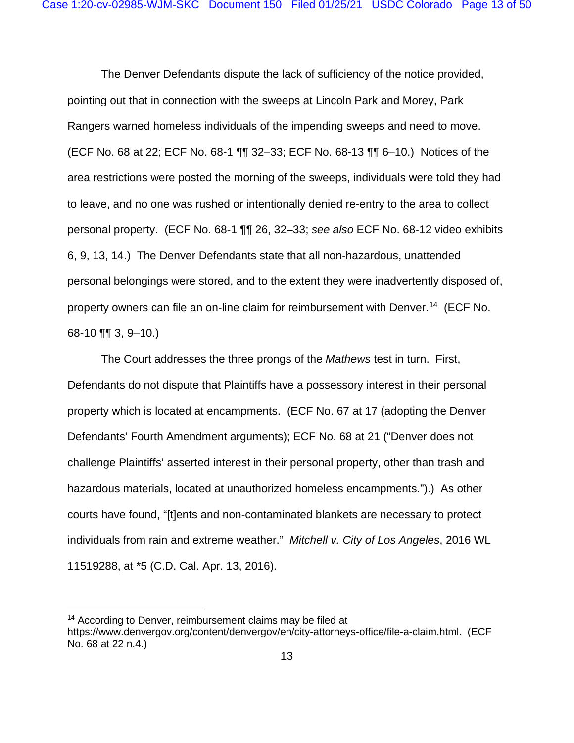The Denver Defendants dispute the lack of sufficiency of the notice provided, pointing out that in connection with the sweeps at Lincoln Park and Morey, Park Rangers warned homeless individuals of the impending sweeps and need to move. (ECF No. 68 at 22; ECF No. 68-1 ¶¶ 32–33; ECF No. 68-13 ¶¶ 6–10.) Notices of the area restrictions were posted the morning of the sweeps, individuals were told they had to leave, and no one was rushed or intentionally denied re-entry to the area to collect personal property. (ECF No. 68-1 ¶¶ 26, 32–33; *see also* ECF No. 68-12 video exhibits 6, 9, 13, 14.) The Denver Defendants state that all non-hazardous, unattended personal belongings were stored, and to the extent they were inadvertently disposed of, property owners can file an on-line claim for reimbursement with Denver. [14](#page-12-0) (ECF No. 68-10  $\P$ , 3, 9-10.)

The Court addresses the three prongs of the *Mathews* test in turn. First, Defendants do not dispute that Plaintiffs have a possessory interest in their personal property which is located at encampments. (ECF No. 67 at 17 (adopting the Denver Defendants' Fourth Amendment arguments); ECF No. 68 at 21 ("Denver does not challenge Plaintiffs' asserted interest in their personal property, other than trash and hazardous materials, located at unauthorized homeless encampments.").) As other courts have found, "[t]ents and non-contaminated blankets are necessary to protect individuals from rain and extreme weather." *Mitchell v. City of Los Angeles*, 2016 WL 11519288, at \*5 (C.D. Cal. Apr. 13, 2016).

<span id="page-12-0"></span><sup>&</sup>lt;sup>14</sup> According to Denver, reimbursement claims may be filed at https://www.denvergov.org/content/denvergov/en/city-attorneys-office/file-a-claim.html. (ECF No. 68 at 22 n.4.)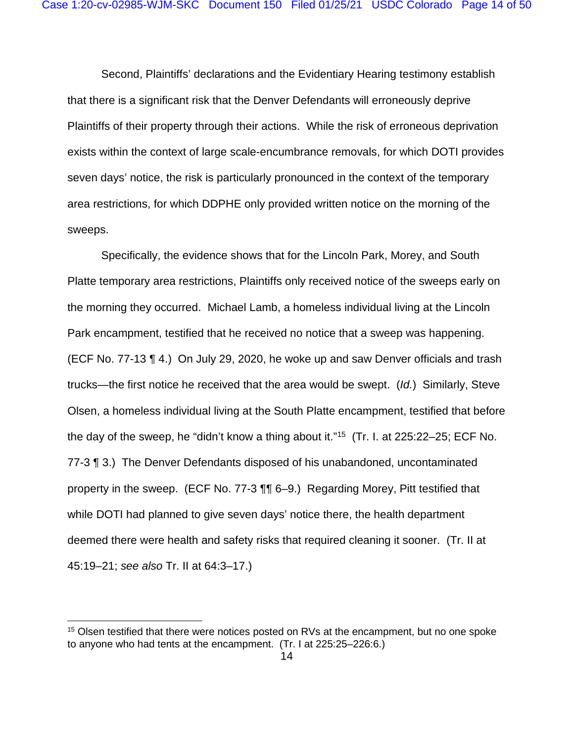Second, Plaintiffs' declarations and the Evidentiary Hearing testimony establish that there is a significant risk that the Denver Defendants will erroneously deprive Plaintiffs of their property through their actions. While the risk of erroneous deprivation exists within the context of large scale-encumbrance removals, for which DOTI provides seven days' notice, the risk is particularly pronounced in the context of the temporary area restrictions, for which DDPHE only provided written notice on the morning of the sweeps.

Specifically, the evidence shows that for the Lincoln Park, Morey, and South Platte temporary area restrictions, Plaintiffs only received notice of the sweeps early on the morning they occurred. Michael Lamb, a homeless individual living at the Lincoln Park encampment, testified that he received no notice that a sweep was happening. (ECF No. 77-13 ¶ 4.) On July 29, 2020, he woke up and saw Denver officials and trash trucks—the first notice he received that the area would be swept. (*Id.*) Similarly, Steve Olsen, a homeless individual living at the South Platte encampment, testified that before the day of the sweep, he "didn't know a thing about it."[15](#page-13-0) (Tr. I. at 225:22–25; ECF No. 77-3 ¶ 3.) The Denver Defendants disposed of his unabandoned, uncontaminated property in the sweep. (ECF No. 77-3 ¶¶ 6–9.) Regarding Morey, Pitt testified that while DOTI had planned to give seven days' notice there, the health department deemed there were health and safety risks that required cleaning it sooner. (Tr. II at 45:19–21; *see also* Tr. II at 64:3–17.)

<span id="page-13-0"></span><sup>&</sup>lt;sup>15</sup> Olsen testified that there were notices posted on RVs at the encampment, but no one spoke to anyone who had tents at the encampment. (Tr. I at 225:25–226:6.)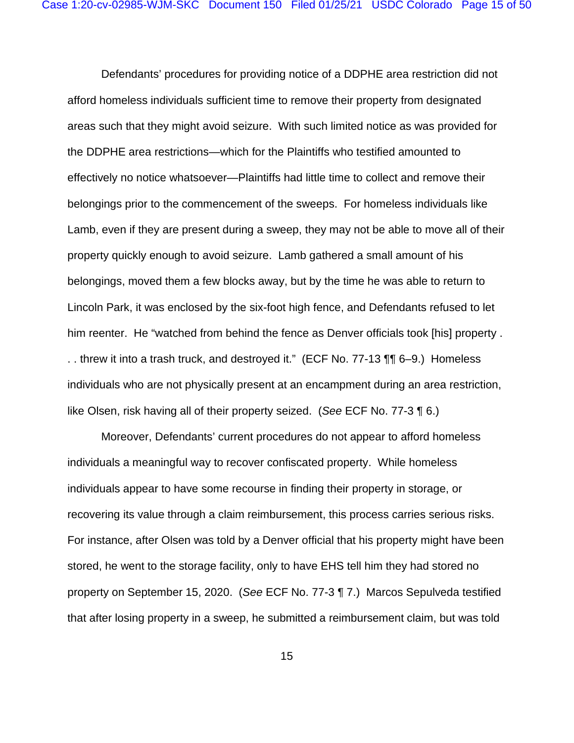Defendants' procedures for providing notice of a DDPHE area restriction did not afford homeless individuals sufficient time to remove their property from designated areas such that they might avoid seizure. With such limited notice as was provided for the DDPHE area restrictions—which for the Plaintiffs who testified amounted to effectively no notice whatsoever—Plaintiffs had little time to collect and remove their belongings prior to the commencement of the sweeps. For homeless individuals like Lamb, even if they are present during a sweep, they may not be able to move all of their property quickly enough to avoid seizure. Lamb gathered a small amount of his belongings, moved them a few blocks away, but by the time he was able to return to Lincoln Park, it was enclosed by the six-foot high fence, and Defendants refused to let him reenter. He "watched from behind the fence as Denver officials took [his] property . . . threw it into a trash truck, and destroyed it." (ECF No. 77-13 ¶¶ 6–9.) Homeless individuals who are not physically present at an encampment during an area restriction, like Olsen, risk having all of their property seized. (*See* ECF No. 77-3 ¶ 6.)

Moreover, Defendants' current procedures do not appear to afford homeless individuals a meaningful way to recover confiscated property. While homeless individuals appear to have some recourse in finding their property in storage, or recovering its value through a claim reimbursement, this process carries serious risks. For instance, after Olsen was told by a Denver official that his property might have been stored, he went to the storage facility, only to have EHS tell him they had stored no property on September 15, 2020. (*See* ECF No. 77-3 ¶ 7.) Marcos Sepulveda testified that after losing property in a sweep, he submitted a reimbursement claim, but was told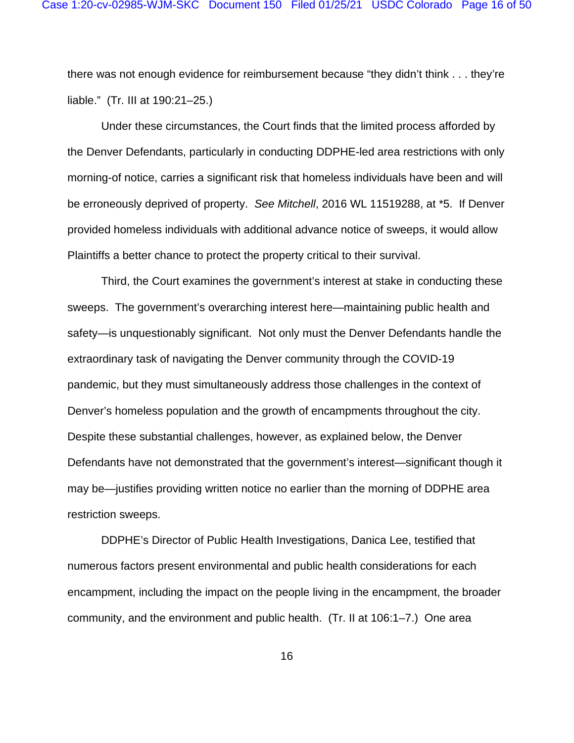there was not enough evidence for reimbursement because "they didn't think . . . they're liable." (Tr. III at 190:21–25.)

Under these circumstances, the Court finds that the limited process afforded by the Denver Defendants, particularly in conducting DDPHE-led area restrictions with only morning-of notice, carries a significant risk that homeless individuals have been and will be erroneously deprived of property. *See Mitchell*, 2016 WL 11519288, at \*5. If Denver provided homeless individuals with additional advance notice of sweeps, it would allow Plaintiffs a better chance to protect the property critical to their survival.

Third, the Court examines the government's interest at stake in conducting these sweeps. The government's overarching interest here—maintaining public health and safety—is unquestionably significant. Not only must the Denver Defendants handle the extraordinary task of navigating the Denver community through the COVID-19 pandemic, but they must simultaneously address those challenges in the context of Denver's homeless population and the growth of encampments throughout the city. Despite these substantial challenges, however, as explained below, the Denver Defendants have not demonstrated that the government's interest—significant though it may be—justifies providing written notice no earlier than the morning of DDPHE area restriction sweeps.

DDPHE's Director of Public Health Investigations, Danica Lee, testified that numerous factors present environmental and public health considerations for each encampment, including the impact on the people living in the encampment, the broader community, and the environment and public health. (Tr. II at 106:1–7.) One area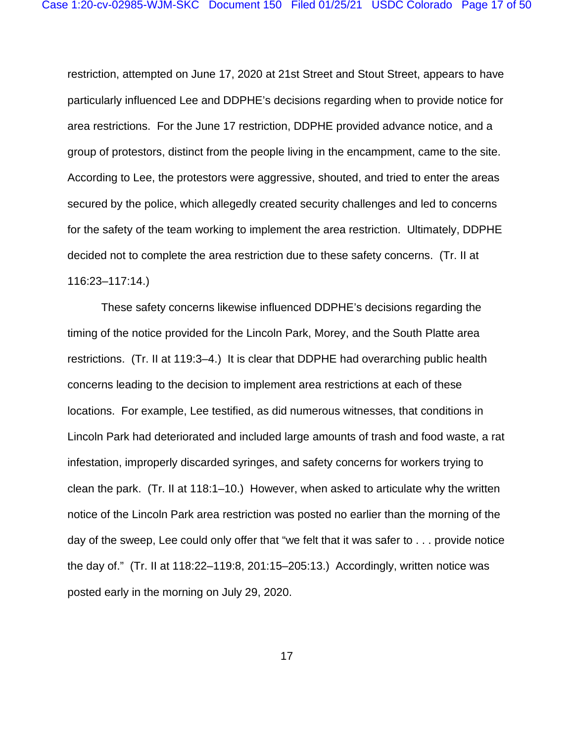restriction, attempted on June 17, 2020 at 21st Street and Stout Street, appears to have particularly influenced Lee and DDPHE's decisions regarding when to provide notice for area restrictions. For the June 17 restriction, DDPHE provided advance notice, and a group of protestors, distinct from the people living in the encampment, came to the site. According to Lee, the protestors were aggressive, shouted, and tried to enter the areas secured by the police, which allegedly created security challenges and led to concerns for the safety of the team working to implement the area restriction. Ultimately, DDPHE decided not to complete the area restriction due to these safety concerns. (Tr. II at 116:23–117:14.)

These safety concerns likewise influenced DDPHE's decisions regarding the timing of the notice provided for the Lincoln Park, Morey, and the South Platte area restrictions. (Tr. II at 119:3–4.) It is clear that DDPHE had overarching public health concerns leading to the decision to implement area restrictions at each of these locations. For example, Lee testified, as did numerous witnesses, that conditions in Lincoln Park had deteriorated and included large amounts of trash and food waste, a rat infestation, improperly discarded syringes, and safety concerns for workers trying to clean the park. (Tr. II at 118:1–10.) However, when asked to articulate why the written notice of the Lincoln Park area restriction was posted no earlier than the morning of the day of the sweep, Lee could only offer that "we felt that it was safer to . . . provide notice the day of." (Tr. II at 118:22–119:8, 201:15–205:13.) Accordingly, written notice was posted early in the morning on July 29, 2020.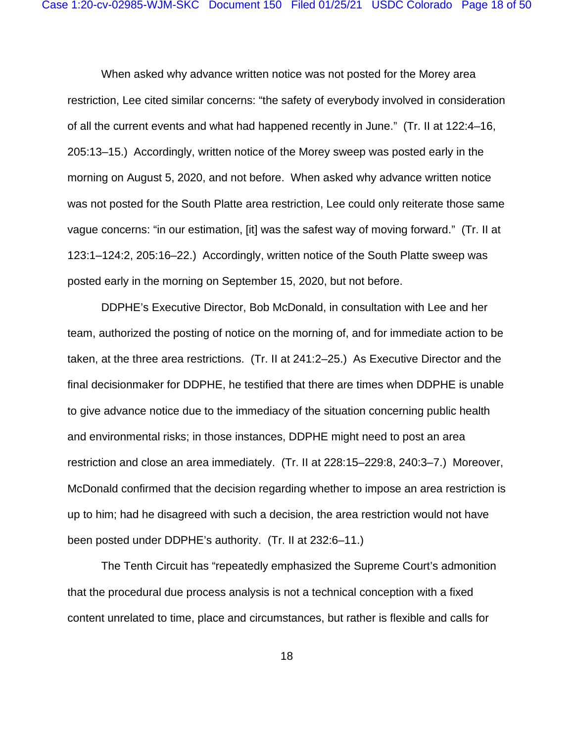When asked why advance written notice was not posted for the Morey area restriction, Lee cited similar concerns: "the safety of everybody involved in consideration of all the current events and what had happened recently in June." (Tr. II at 122:4–16, 205:13–15.) Accordingly, written notice of the Morey sweep was posted early in the morning on August 5, 2020, and not before. When asked why advance written notice was not posted for the South Platte area restriction, Lee could only reiterate those same vague concerns: "in our estimation, [it] was the safest way of moving forward." (Tr. II at 123:1–124:2, 205:16–22.) Accordingly, written notice of the South Platte sweep was posted early in the morning on September 15, 2020, but not before.

DDPHE's Executive Director, Bob McDonald, in consultation with Lee and her team, authorized the posting of notice on the morning of, and for immediate action to be taken, at the three area restrictions. (Tr. II at 241:2–25.) As Executive Director and the final decisionmaker for DDPHE, he testified that there are times when DDPHE is unable to give advance notice due to the immediacy of the situation concerning public health and environmental risks; in those instances, DDPHE might need to post an area restriction and close an area immediately. (Tr. II at 228:15–229:8, 240:3–7.) Moreover, McDonald confirmed that the decision regarding whether to impose an area restriction is up to him; had he disagreed with such a decision, the area restriction would not have been posted under DDPHE's authority. (Tr. II at 232:6–11.)

The Tenth Circuit has "repeatedly emphasized the Supreme Court's admonition that the procedural due process analysis is not a technical conception with a fixed content unrelated to time, place and circumstances, but rather is flexible and calls for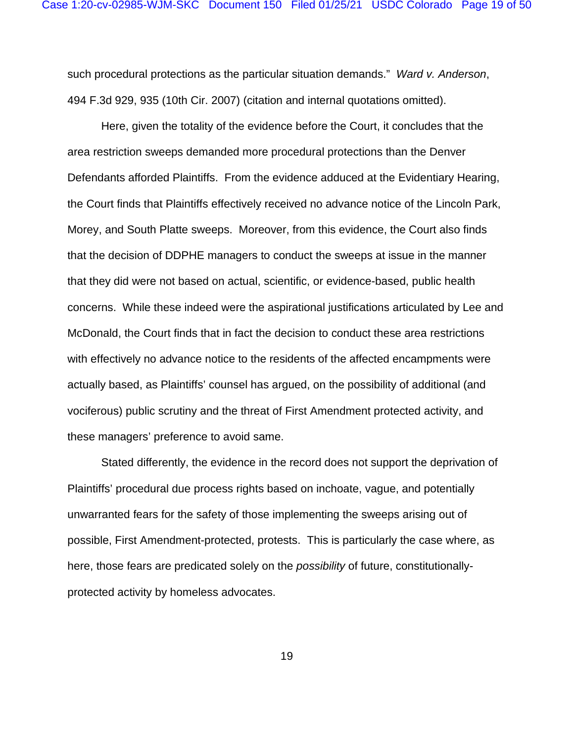such procedural protections as the particular situation demands." *Ward v. Anderson*, 494 F.3d 929, 935 (10th Cir. 2007) (citation and internal quotations omitted).

Here, given the totality of the evidence before the Court, it concludes that the area restriction sweeps demanded more procedural protections than the Denver Defendants afforded Plaintiffs. From the evidence adduced at the Evidentiary Hearing, the Court finds that Plaintiffs effectively received no advance notice of the Lincoln Park, Morey, and South Platte sweeps. Moreover, from this evidence, the Court also finds that the decision of DDPHE managers to conduct the sweeps at issue in the manner that they did were not based on actual, scientific, or evidence-based, public health concerns. While these indeed were the aspirational justifications articulated by Lee and McDonald, the Court finds that in fact the decision to conduct these area restrictions with effectively no advance notice to the residents of the affected encampments were actually based, as Plaintiffs' counsel has argued, on the possibility of additional (and vociferous) public scrutiny and the threat of First Amendment protected activity, and these managers' preference to avoid same.

Stated differently, the evidence in the record does not support the deprivation of Plaintiffs' procedural due process rights based on inchoate, vague, and potentially unwarranted fears for the safety of those implementing the sweeps arising out of possible, First Amendment-protected, protests. This is particularly the case where, as here, those fears are predicated solely on the *possibility* of future, constitutionallyprotected activity by homeless advocates.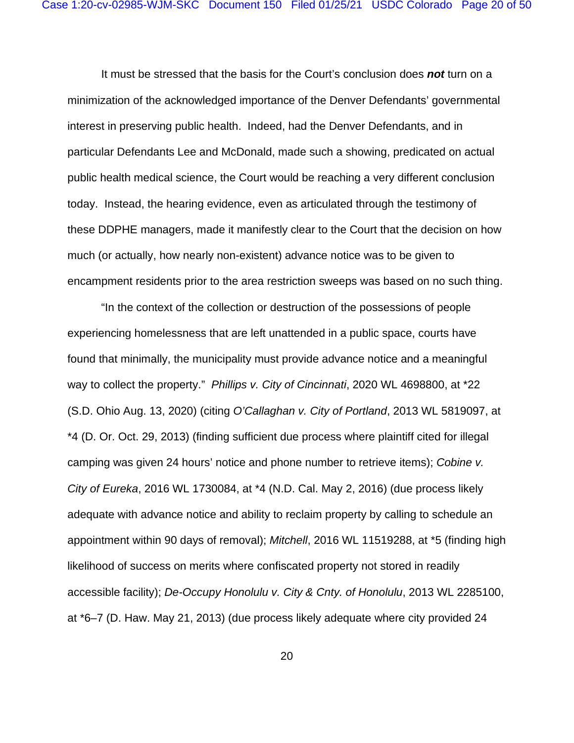It must be stressed that the basis for the Court's conclusion does *not* turn on a minimization of the acknowledged importance of the Denver Defendants' governmental interest in preserving public health. Indeed, had the Denver Defendants, and in particular Defendants Lee and McDonald, made such a showing, predicated on actual public health medical science, the Court would be reaching a very different conclusion today. Instead, the hearing evidence, even as articulated through the testimony of these DDPHE managers, made it manifestly clear to the Court that the decision on how much (or actually, how nearly non-existent) advance notice was to be given to encampment residents prior to the area restriction sweeps was based on no such thing.

"In the context of the collection or destruction of the possessions of people experiencing homelessness that are left unattended in a public space, courts have found that minimally, the municipality must provide advance notice and a meaningful way to collect the property." *Phillips v. City of Cincinnati*, 2020 WL 4698800, at \*22 (S.D. Ohio Aug. 13, 2020) (citing *O'Callaghan v. City of Portland*, 2013 WL 5819097, at \*4 (D. Or. Oct. 29, 2013) (finding sufficient due process where plaintiff cited for illegal camping was given 24 hours' notice and phone number to retrieve items); *Cobine v. City of Eureka*, 2016 WL 1730084, at \*4 (N.D. Cal. May 2, 2016) (due process likely adequate with advance notice and ability to reclaim property by calling to schedule an appointment within 90 days of removal); *Mitchell*, 2016 WL 11519288, at \*5 (finding high likelihood of success on merits where confiscated property not stored in readily accessible facility); *De-Occupy Honolulu v. City & Cnty. of Honolulu*, 2013 WL 2285100, at \*6–7 (D. Haw. May 21, 2013) (due process likely adequate where city provided 24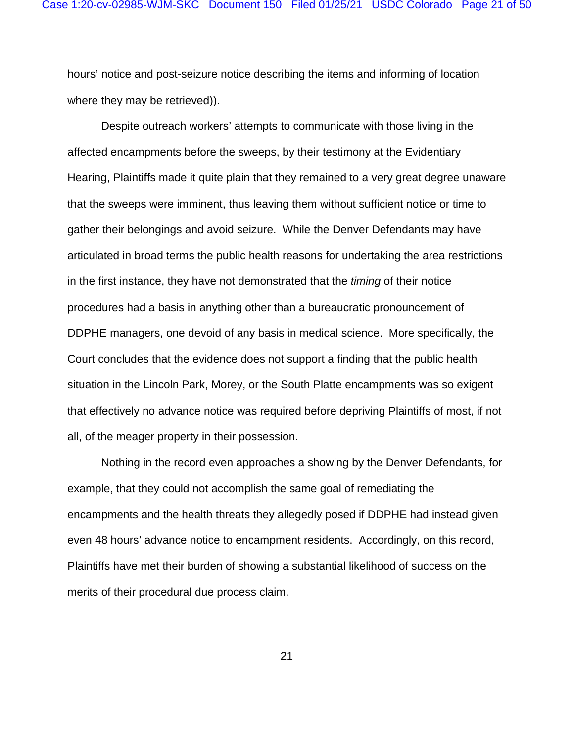hours' notice and post-seizure notice describing the items and informing of location where they may be retrieved)).

Despite outreach workers' attempts to communicate with those living in the affected encampments before the sweeps, by their testimony at the Evidentiary Hearing, Plaintiffs made it quite plain that they remained to a very great degree unaware that the sweeps were imminent, thus leaving them without sufficient notice or time to gather their belongings and avoid seizure. While the Denver Defendants may have articulated in broad terms the public health reasons for undertaking the area restrictions in the first instance, they have not demonstrated that the *timing* of their notice procedures had a basis in anything other than a bureaucratic pronouncement of DDPHE managers, one devoid of any basis in medical science. More specifically, the Court concludes that the evidence does not support a finding that the public health situation in the Lincoln Park, Morey, or the South Platte encampments was so exigent that effectively no advance notice was required before depriving Plaintiffs of most, if not all, of the meager property in their possession.

Nothing in the record even approaches a showing by the Denver Defendants, for example, that they could not accomplish the same goal of remediating the encampments and the health threats they allegedly posed if DDPHE had instead given even 48 hours' advance notice to encampment residents. Accordingly, on this record, Plaintiffs have met their burden of showing a substantial likelihood of success on the merits of their procedural due process claim.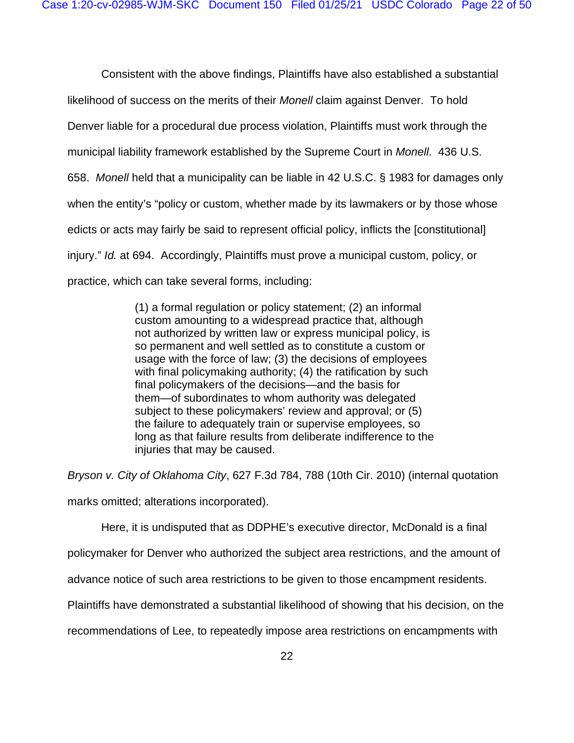Consistent with the above findings, Plaintiffs have also established a substantial likelihood of success on the merits of their *Monell* claim against Denver. To hold Denver liable for a procedural due process violation, Plaintiffs must work through the municipal liability framework established by the Supreme Court in *Monell*. 436 U.S. 658. *Monell* held that a municipality can be liable in 42 U.S.C. § 1983 for damages only when the entity's "policy or custom, whether made by its lawmakers or by those whose edicts or acts may fairly be said to represent official policy, inflicts the [constitutional] injury." *Id.* at 694. Accordingly, Plaintiffs must prove a municipal custom, policy, or practice, which can take several forms, including:

> (1) a formal regulation or policy statement; (2) an informal custom amounting to a widespread practice that, although not authorized by written law or express municipal policy, is so permanent and well settled as to constitute a custom or usage with the force of law; (3) the decisions of employees with final policymaking authority; (4) the ratification by such final policymakers of the decisions—and the basis for them—of subordinates to whom authority was delegated subject to these policymakers' review and approval; or (5) the failure to adequately train or supervise employees, so long as that failure results from deliberate indifference to the injuries that may be caused.

*Bryson v. City of Oklahoma City*, 627 F.3d 784, 788 (10th Cir. 2010) (internal quotation

marks omitted; alterations incorporated).

Here, it is undisputed that as DDPHE's executive director, McDonald is a final

policymaker for Denver who authorized the subject area restrictions, and the amount of

advance notice of such area restrictions to be given to those encampment residents.

Plaintiffs have demonstrated a substantial likelihood of showing that his decision, on the

recommendations of Lee, to repeatedly impose area restrictions on encampments with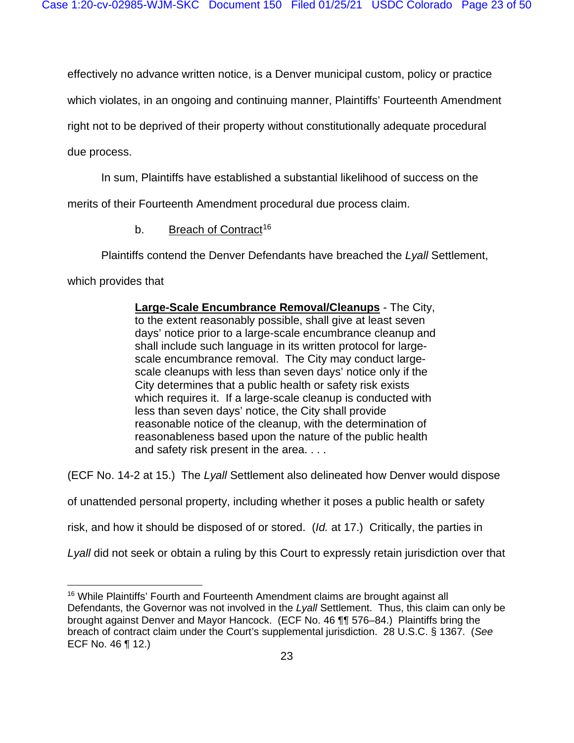effectively no advance written notice, is a Denver municipal custom, policy or practice

which violates, in an ongoing and continuing manner, Plaintiffs' Fourteenth Amendment

right not to be deprived of their property without constitutionally adequate procedural

due process.

In sum, Plaintiffs have established a substantial likelihood of success on the

merits of their Fourteenth Amendment procedural due process claim.

b. Breach of Contract<sup>[16](#page-22-0)</sup>

Plaintiffs contend the Denver Defendants have breached the *Lyall* Settlement,

which provides that

**Large-Scale Encumbrance Removal/Cleanups** - The City, to the extent reasonably possible, shall give at least seven days' notice prior to a large-scale encumbrance cleanup and shall include such language in its written protocol for largescale encumbrance removal. The City may conduct largescale cleanups with less than seven days' notice only if the City determines that a public health or safety risk exists which requires it. If a large-scale cleanup is conducted with less than seven days' notice, the City shall provide reasonable notice of the cleanup, with the determination of reasonableness based upon the nature of the public health and safety risk present in the area. . . .

(ECF No. 14-2 at 15.) The *Lyall* Settlement also delineated how Denver would dispose

of unattended personal property, including whether it poses a public health or safety

risk, and how it should be disposed of or stored. (*Id.* at 17.) Critically, the parties in

Lyall did not seek or obtain a ruling by this Court to expressly retain jurisdiction over that

<span id="page-22-0"></span><sup>&</sup>lt;sup>16</sup> While Plaintiffs' Fourth and Fourteenth Amendment claims are brought against all Defendants, the Governor was not involved in the *Lyall* Settlement. Thus, this claim can only be brought against Denver and Mayor Hancock. (ECF No. 46 ¶¶ 576–84.) Plaintiffs bring the breach of contract claim under the Court's supplemental jurisdiction. 28 U.S.C. § 1367. (*See* ECF No. 46 ¶ 12.)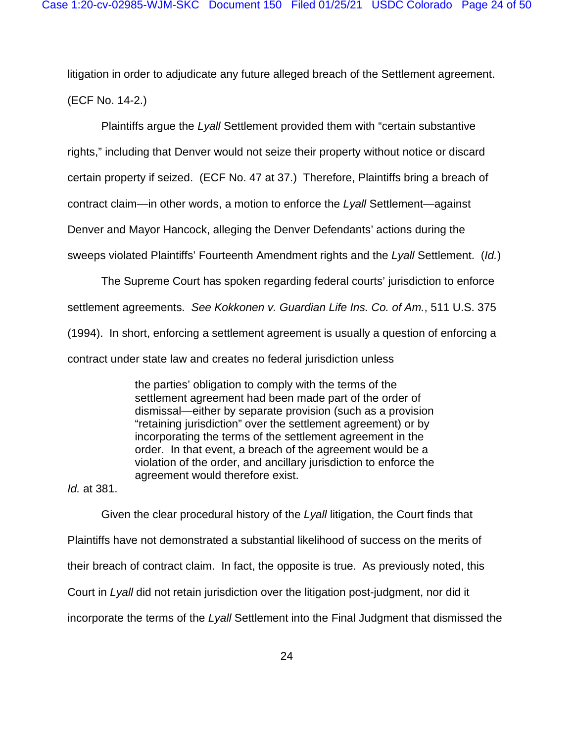litigation in order to adjudicate any future alleged breach of the Settlement agreement. (ECF No. 14-2.)

Plaintiffs argue the *Lyall* Settlement provided them with "certain substantive rights," including that Denver would not seize their property without notice or discard certain property if seized. (ECF No. 47 at 37.) Therefore, Plaintiffs bring a breach of contract claim—in other words, a motion to enforce the *Lyall* Settlement—against Denver and Mayor Hancock, alleging the Denver Defendants' actions during the sweeps violated Plaintiffs' Fourteenth Amendment rights and the *Lyall* Settlement. (*Id.*)

The Supreme Court has spoken regarding federal courts' jurisdiction to enforce settlement agreements. *See Kokkonen v. Guardian Life Ins. Co. of Am.*, 511 U.S. 375 (1994). In short, enforcing a settlement agreement is usually a question of enforcing a contract under state law and creates no federal jurisdiction unless

> the parties' obligation to comply with the terms of the settlement agreement had been made part of the order of dismissal—either by separate provision (such as a provision "retaining jurisdiction" over the settlement agreement) or by incorporating the terms of the settlement agreement in the order. In that event, a breach of the agreement would be a violation of the order, and ancillary jurisdiction to enforce the agreement would therefore exist.

*Id.* at 381.

Given the clear procedural history of the *Lyall* litigation, the Court finds that Plaintiffs have not demonstrated a substantial likelihood of success on the merits of their breach of contract claim. In fact, the opposite is true. As previously noted, this Court in *Lyall* did not retain jurisdiction over the litigation post-judgment, nor did it incorporate the terms of the *Lyall* Settlement into the Final Judgment that dismissed the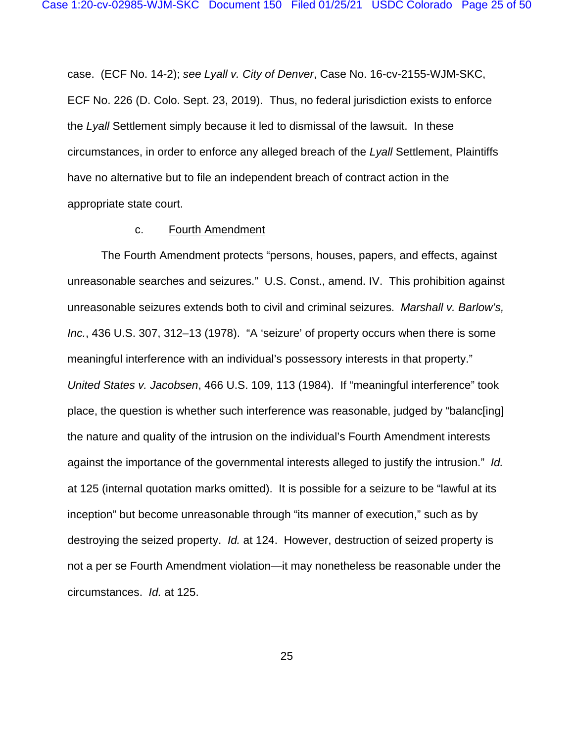case. (ECF No. 14-2); *see Lyall v. City of Denver*, Case No. 16-cv-2155-WJM-SKC, ECF No. 226 (D. Colo. Sept. 23, 2019). Thus, no federal jurisdiction exists to enforce the *Lyall* Settlement simply because it led to dismissal of the lawsuit. In these circumstances, in order to enforce any alleged breach of the *Lyall* Settlement, Plaintiffs have no alternative but to file an independent breach of contract action in the appropriate state court.

#### c. Fourth Amendment

The Fourth Amendment protects "persons, houses, papers, and effects, against unreasonable searches and seizures." U.S. Const., amend. IV. This prohibition against unreasonable seizures extends both to civil and criminal seizures. *Marshall v. Barlow's, Inc.*, 436 U.S. 307, 312–13 (1978). "A 'seizure' of property occurs when there is some meaningful interference with an individual's possessory interests in that property." *United States v. Jacobsen*, 466 U.S. 109, 113 (1984). If "meaningful interference" took place, the question is whether such interference was reasonable, judged by "balanc[ing] the nature and quality of the intrusion on the individual's Fourth Amendment interests against the importance of the governmental interests alleged to justify the intrusion." *Id.* at 125 (internal quotation marks omitted). It is possible for a seizure to be "lawful at its inception" but become unreasonable through "its manner of execution," such as by destroying the seized property. *Id.* at 124. However, destruction of seized property is not a per se Fourth Amendment violation—it may nonetheless be reasonable under the circumstances. *Id.* at 125.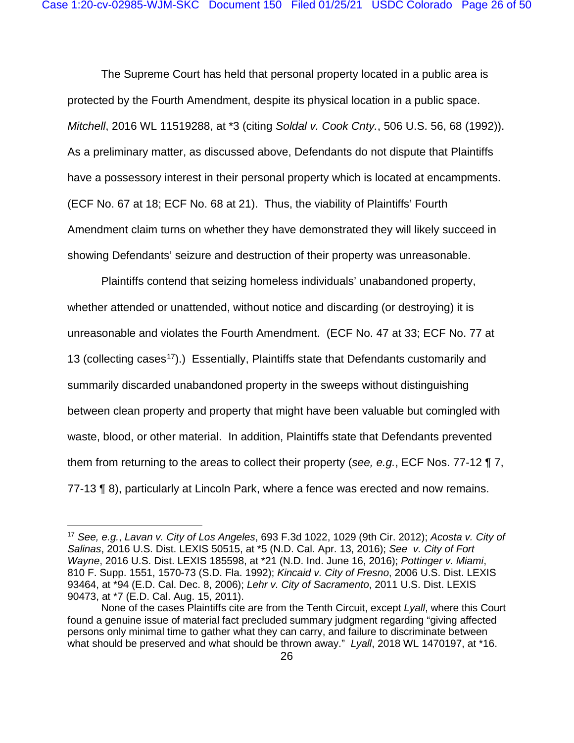The Supreme Court has held that personal property located in a public area is protected by the Fourth Amendment, despite its physical location in a public space. *Mitchell*, 2016 WL 11519288, at \*3 (citing *Soldal v. Cook Cnty.*, 506 U.S. 56, 68 (1992)). As a preliminary matter, as discussed above, Defendants do not dispute that Plaintiffs have a possessory interest in their personal property which is located at encampments. (ECF No. 67 at 18; ECF No. 68 at 21). Thus, the viability of Plaintiffs' Fourth Amendment claim turns on whether they have demonstrated they will likely succeed in showing Defendants' seizure and destruction of their property was unreasonable.

Plaintiffs contend that seizing homeless individuals' unabandoned property, whether attended or unattended, without notice and discarding (or destroying) it is unreasonable and violates the Fourth Amendment. (ECF No. 47 at 33; ECF No. 77 at 13 (collecting cases<sup>17</sup>).) Essentially, Plaintiffs state that Defendants customarily and summarily discarded unabandoned property in the sweeps without distinguishing between clean property and property that might have been valuable but comingled with waste, blood, or other material. In addition, Plaintiffs state that Defendants prevented them from returning to the areas to collect their property (*see, e.g.*, ECF Nos. 77-12 ¶ 7, 77-13 ¶ 8), particularly at Lincoln Park, where a fence was erected and now remains.

<span id="page-25-0"></span><sup>17</sup> *See, e.g.*, *Lavan v. City of Los Angeles*, 693 F.3d 1022, 1029 (9th Cir. 2012); *Acosta v. City of Salinas*, 2016 U.S. Dist. LEXIS 50515, at \*5 (N.D. Cal. Apr. 13, 2016); *See v. City of Fort Wayne*, 2016 U.S. Dist. LEXIS 185598, at \*21 (N.D. Ind. June 16, 2016); *Pottinger v. Miami*, 810 F. Supp. 1551, 1570-73 (S.D. Fla. 1992); *Kincaid v. City of Fresno*, 2006 U.S. Dist. LEXIS 93464, at \*94 (E.D. Cal. Dec. 8, 2006); *Lehr v. City of Sacramento*, 2011 U.S. Dist. LEXIS 90473, at \*7 (E.D. Cal. Aug. 15, 2011).

None of the cases Plaintiffs cite are from the Tenth Circuit, except *Lyall*, where this Court found a genuine issue of material fact precluded summary judgment regarding "giving affected persons only minimal time to gather what they can carry, and failure to discriminate between what should be preserved and what should be thrown away." *Lyall*, 2018 WL 1470197, at \*16.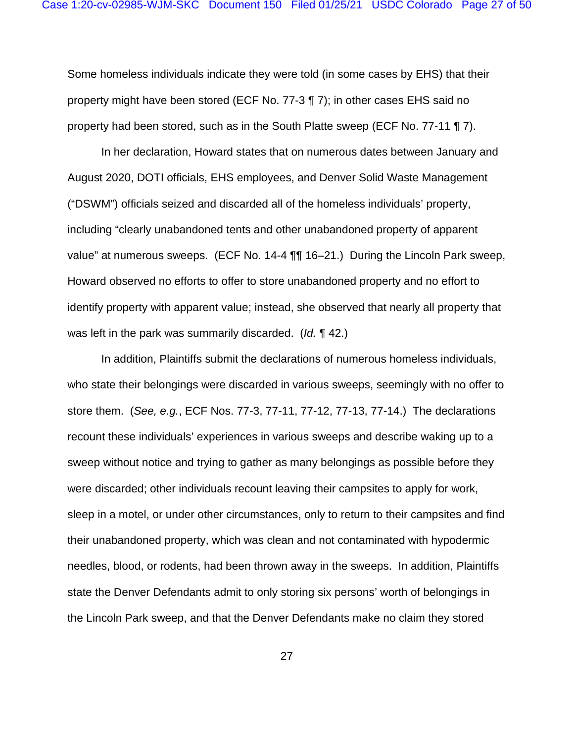Some homeless individuals indicate they were told (in some cases by EHS) that their property might have been stored (ECF No. 77-3 ¶ 7); in other cases EHS said no property had been stored, such as in the South Platte sweep (ECF No. 77-11 ¶ 7).

In her declaration, Howard states that on numerous dates between January and August 2020, DOTI officials, EHS employees, and Denver Solid Waste Management ("DSWM") officials seized and discarded all of the homeless individuals' property, including "clearly unabandoned tents and other unabandoned property of apparent value" at numerous sweeps. (ECF No. 14-4 ¶¶ 16–21.) During the Lincoln Park sweep, Howard observed no efforts to offer to store unabandoned property and no effort to identify property with apparent value; instead, she observed that nearly all property that was left in the park was summarily discarded. (*Id.* ¶ 42.)

In addition, Plaintiffs submit the declarations of numerous homeless individuals, who state their belongings were discarded in various sweeps, seemingly with no offer to store them. (*See, e.g.*, ECF Nos. 77-3, 77-11, 77-12, 77-13, 77-14.) The declarations recount these individuals' experiences in various sweeps and describe waking up to a sweep without notice and trying to gather as many belongings as possible before they were discarded; other individuals recount leaving their campsites to apply for work, sleep in a motel, or under other circumstances, only to return to their campsites and find their unabandoned property, which was clean and not contaminated with hypodermic needles, blood, or rodents, had been thrown away in the sweeps. In addition, Plaintiffs state the Denver Defendants admit to only storing six persons' worth of belongings in the Lincoln Park sweep, and that the Denver Defendants make no claim they stored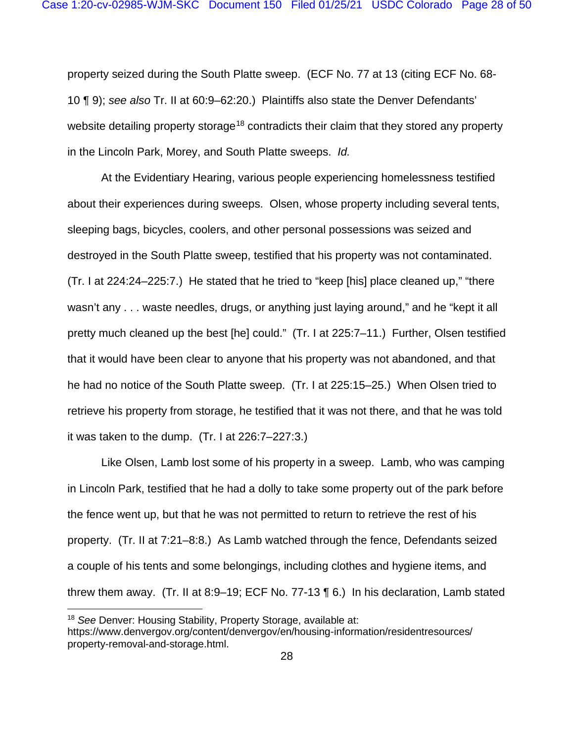property seized during the South Platte sweep. (ECF No. 77 at 13 (citing ECF No. 68- 10 ¶ 9); *see also* Tr. II at 60:9–62:20.) Plaintiffs also state the Denver Defendants' website detailing property storage<sup>[18](#page-27-0)</sup> contradicts their claim that they stored any property in the Lincoln Park, Morey, and South Platte sweeps. *Id.*

At the Evidentiary Hearing, various people experiencing homelessness testified about their experiences during sweeps. Olsen, whose property including several tents, sleeping bags, bicycles, coolers, and other personal possessions was seized and destroyed in the South Platte sweep, testified that his property was not contaminated. (Tr. I at 224:24–225:7.) He stated that he tried to "keep [his] place cleaned up," "there wasn't any . . . waste needles, drugs, or anything just laying around," and he "kept it all pretty much cleaned up the best [he] could." (Tr. I at 225:7–11.) Further, Olsen testified that it would have been clear to anyone that his property was not abandoned, and that he had no notice of the South Platte sweep. (Tr. I at 225:15–25.) When Olsen tried to retrieve his property from storage, he testified that it was not there, and that he was told it was taken to the dump. (Tr. I at 226:7–227:3.)

Like Olsen, Lamb lost some of his property in a sweep. Lamb, who was camping in Lincoln Park, testified that he had a dolly to take some property out of the park before the fence went up, but that he was not permitted to return to retrieve the rest of his property. (Tr. II at 7:21–8:8.) As Lamb watched through the fence, Defendants seized a couple of his tents and some belongings, including clothes and hygiene items, and threw them away. (Tr. II at 8:9–19; ECF No. 77-13 ¶ 6.) In his declaration, Lamb stated

<span id="page-27-0"></span><sup>18</sup> *See* Denver: Housing Stability, Property Storage, available at:

https://www.denvergov.org/content/denvergov/en/housing-information/residentresources/ property-removal-and-storage.html.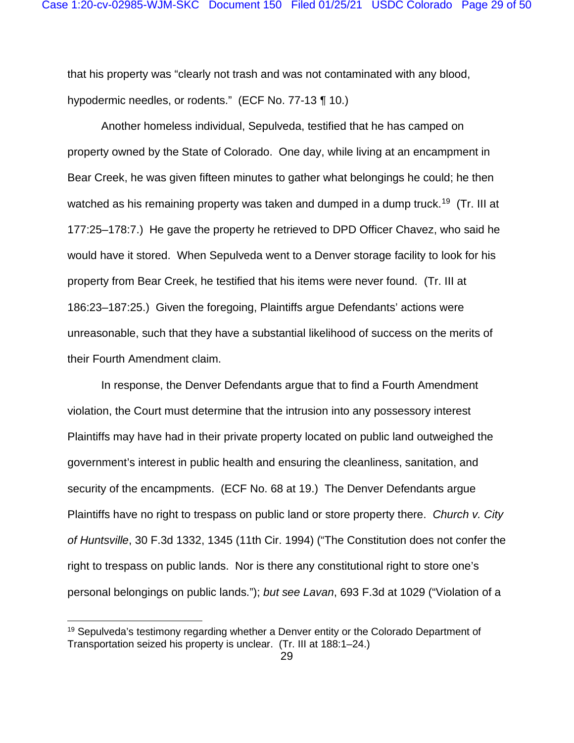that his property was "clearly not trash and was not contaminated with any blood, hypodermic needles, or rodents." (ECF No. 77-13 ¶ 10.)

Another homeless individual, Sepulveda, testified that he has camped on property owned by the State of Colorado. One day, while living at an encampment in Bear Creek, he was given fifteen minutes to gather what belongings he could; he then watched as his remaining property was taken and dumped in a dump truck.<sup>[19](#page-28-0)</sup> (Tr. III at 177:25–178:7.) He gave the property he retrieved to DPD Officer Chavez, who said he would have it stored. When Sepulveda went to a Denver storage facility to look for his property from Bear Creek, he testified that his items were never found. (Tr. III at 186:23–187:25.) Given the foregoing, Plaintiffs argue Defendants' actions were unreasonable, such that they have a substantial likelihood of success on the merits of their Fourth Amendment claim.

In response, the Denver Defendants argue that to find a Fourth Amendment violation, the Court must determine that the intrusion into any possessory interest Plaintiffs may have had in their private property located on public land outweighed the government's interest in public health and ensuring the cleanliness, sanitation, and security of the encampments. (ECF No. 68 at 19.) The Denver Defendants argue Plaintiffs have no right to trespass on public land or store property there. *Church v. City of Huntsville*, 30 F.3d 1332, 1345 (11th Cir. 1994) ("The Constitution does not confer the right to trespass on public lands. Nor is there any constitutional right to store one's personal belongings on public lands."); *but see Lavan*, 693 F.3d at 1029 ("Violation of a

<span id="page-28-0"></span><sup>&</sup>lt;sup>19</sup> Sepulveda's testimony regarding whether a Denver entity or the Colorado Department of Transportation seized his property is unclear. (Tr. III at 188:1–24.)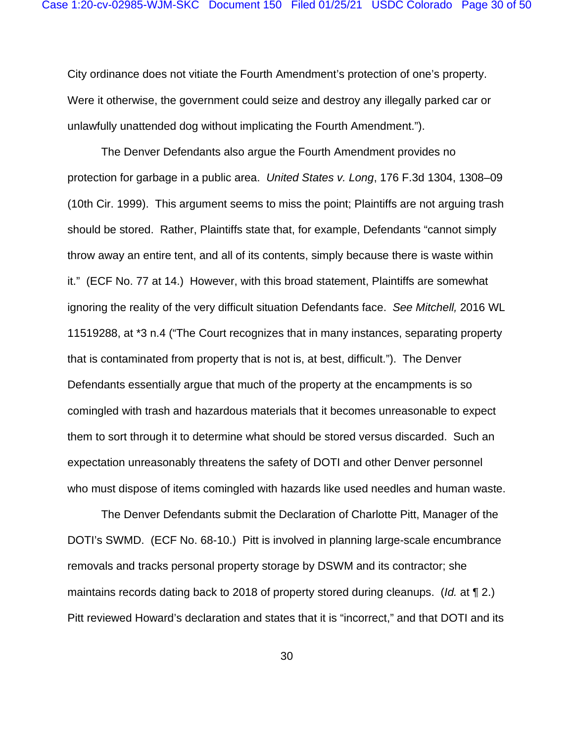City ordinance does not vitiate the Fourth Amendment's protection of one's property. Were it otherwise, the government could seize and destroy any illegally parked car or unlawfully unattended dog without implicating the Fourth Amendment.").

The Denver Defendants also argue the Fourth Amendment provides no protection for garbage in a public area. *United States v. Long*, 176 F.3d 1304, 1308–09 (10th Cir. 1999). This argument seems to miss the point; Plaintiffs are not arguing trash should be stored. Rather, Plaintiffs state that, for example, Defendants "cannot simply throw away an entire tent, and all of its contents, simply because there is waste within it." (ECF No. 77 at 14.) However, with this broad statement, Plaintiffs are somewhat ignoring the reality of the very difficult situation Defendants face. *See Mitchell,* 2016 WL 11519288, at \*3 n.4 ("The Court recognizes that in many instances, separating property that is contaminated from property that is not is, at best, difficult."). The Denver Defendants essentially argue that much of the property at the encampments is so comingled with trash and hazardous materials that it becomes unreasonable to expect them to sort through it to determine what should be stored versus discarded. Such an expectation unreasonably threatens the safety of DOTI and other Denver personnel who must dispose of items comingled with hazards like used needles and human waste.

The Denver Defendants submit the Declaration of Charlotte Pitt, Manager of the DOTI's SWMD. (ECF No. 68-10.) Pitt is involved in planning large-scale encumbrance removals and tracks personal property storage by DSWM and its contractor; she maintains records dating back to 2018 of property stored during cleanups. (*Id.* at ¶ 2.) Pitt reviewed Howard's declaration and states that it is "incorrect," and that DOTI and its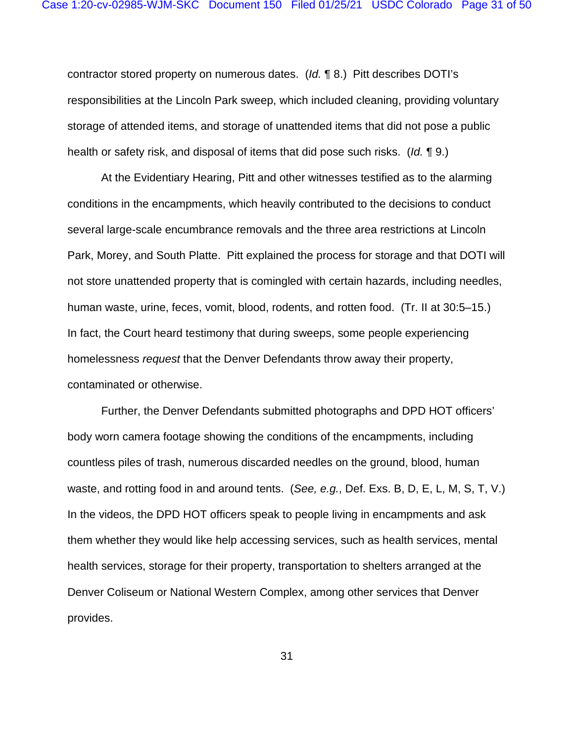contractor stored property on numerous dates. (*Id.* ¶ 8.) Pitt describes DOTI's responsibilities at the Lincoln Park sweep, which included cleaning, providing voluntary storage of attended items, and storage of unattended items that did not pose a public health or safety risk, and disposal of items that did pose such risks. (*Id.* ¶ 9.)

At the Evidentiary Hearing, Pitt and other witnesses testified as to the alarming conditions in the encampments, which heavily contributed to the decisions to conduct several large-scale encumbrance removals and the three area restrictions at Lincoln Park, Morey, and South Platte. Pitt explained the process for storage and that DOTI will not store unattended property that is comingled with certain hazards, including needles, human waste, urine, feces, vomit, blood, rodents, and rotten food. (Tr. II at 30:5–15.) In fact, the Court heard testimony that during sweeps, some people experiencing homelessness *request* that the Denver Defendants throw away their property, contaminated or otherwise.

Further, the Denver Defendants submitted photographs and DPD HOT officers' body worn camera footage showing the conditions of the encampments, including countless piles of trash, numerous discarded needles on the ground, blood, human waste, and rotting food in and around tents. (*See, e.g.*, Def. Exs. B, D, E, L, M, S, T, V.) In the videos, the DPD HOT officers speak to people living in encampments and ask them whether they would like help accessing services, such as health services, mental health services, storage for their property, transportation to shelters arranged at the Denver Coliseum or National Western Complex, among other services that Denver provides.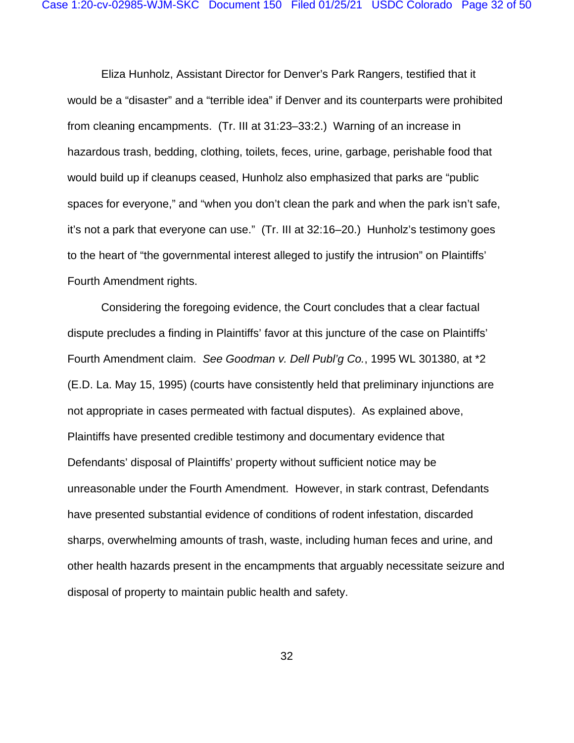Eliza Hunholz, Assistant Director for Denver's Park Rangers, testified that it would be a "disaster" and a "terrible idea" if Denver and its counterparts were prohibited from cleaning encampments. (Tr. III at 31:23–33:2.) Warning of an increase in hazardous trash, bedding, clothing, toilets, feces, urine, garbage, perishable food that would build up if cleanups ceased, Hunholz also emphasized that parks are "public spaces for everyone," and "when you don't clean the park and when the park isn't safe, it's not a park that everyone can use." (Tr. III at 32:16–20.) Hunholz's testimony goes to the heart of "the governmental interest alleged to justify the intrusion" on Plaintiffs' Fourth Amendment rights.

Considering the foregoing evidence, the Court concludes that a clear factual dispute precludes a finding in Plaintiffs' favor at this juncture of the case on Plaintiffs' Fourth Amendment claim. *See Goodman v. Dell Publ'g Co.*, 1995 WL 301380, at \*2 (E.D. La. May 15, 1995) (courts have consistently held that preliminary injunctions are not appropriate in cases permeated with factual disputes). As explained above, Plaintiffs have presented credible testimony and documentary evidence that Defendants' disposal of Plaintiffs' property without sufficient notice may be unreasonable under the Fourth Amendment. However, in stark contrast, Defendants have presented substantial evidence of conditions of rodent infestation, discarded sharps, overwhelming amounts of trash, waste, including human feces and urine, and other health hazards present in the encampments that arguably necessitate seizure and disposal of property to maintain public health and safety.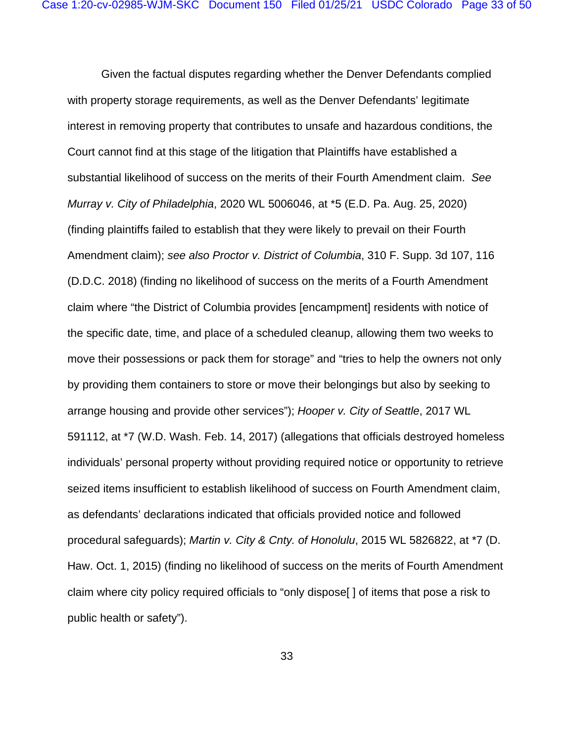Given the factual disputes regarding whether the Denver Defendants complied with property storage requirements, as well as the Denver Defendants' legitimate interest in removing property that contributes to unsafe and hazardous conditions, the Court cannot find at this stage of the litigation that Plaintiffs have established a substantial likelihood of success on the merits of their Fourth Amendment claim. *See Murray v. City of Philadelphia*, 2020 WL 5006046, at \*5 (E.D. Pa. Aug. 25, 2020) (finding plaintiffs failed to establish that they were likely to prevail on their Fourth Amendment claim); *see also Proctor v. District of Columbia*, 310 F. Supp. 3d 107, 116 (D.D.C. 2018) (finding no likelihood of success on the merits of a Fourth Amendment claim where "the District of Columbia provides [encampment] residents with notice of the specific date, time, and place of a scheduled cleanup, allowing them two weeks to move their possessions or pack them for storage" and "tries to help the owners not only by providing them containers to store or move their belongings but also by seeking to arrange housing and provide other services"); *Hooper v. City of Seattle*, 2017 WL 591112, at \*7 (W.D. Wash. Feb. 14, 2017) (allegations that officials destroyed homeless individuals' personal property without providing required notice or opportunity to retrieve seized items insufficient to establish likelihood of success on Fourth Amendment claim, as defendants' declarations indicated that officials provided notice and followed procedural safeguards); *Martin v. City & Cnty. of Honolulu*, 2015 WL 5826822, at \*7 (D. Haw. Oct. 1, 2015) (finding no likelihood of success on the merits of Fourth Amendment claim where city policy required officials to "only dispose[ ] of items that pose a risk to public health or safety").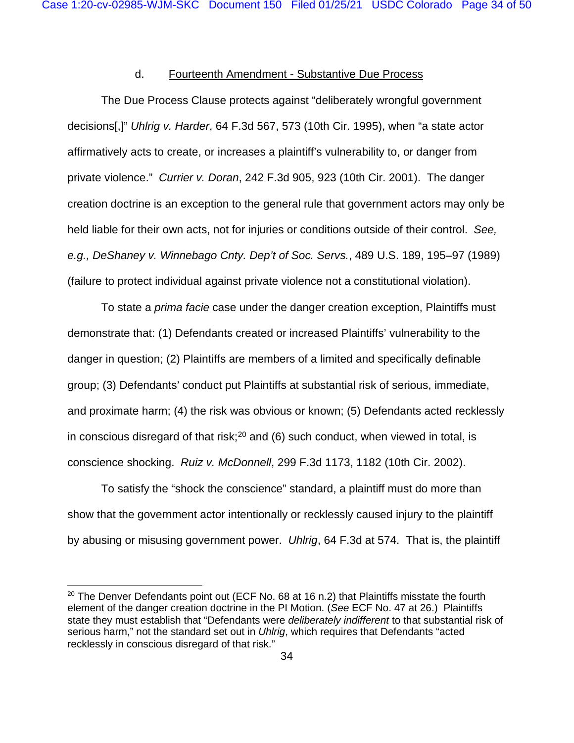### d. Fourteenth Amendment - Substantive Due Process

The Due Process Clause protects against "deliberately wrongful government decisions[,]" *Uhlrig v. Harder*, 64 F.3d 567, 573 (10th Cir. 1995), when "a state actor affirmatively acts to create, or increases a plaintiff's vulnerability to, or danger from private violence." *Currier v. Doran*, 242 F.3d 905, 923 (10th Cir. 2001). The danger creation doctrine is an exception to the general rule that government actors may only be held liable for their own acts, not for injuries or conditions outside of their control. *See, e.g., DeShaney v. Winnebago Cnty. Dep't of Soc. Servs.*, 489 U.S. 189, 195–97 (1989) (failure to protect individual against private violence not a constitutional violation).

To state a *prima facie* case under the danger creation exception, Plaintiffs must demonstrate that: (1) Defendants created or increased Plaintiffs' vulnerability to the danger in question; (2) Plaintiffs are members of a limited and specifically definable group; (3) Defendants' conduct put Plaintiffs at substantial risk of serious, immediate, and proximate harm; (4) the risk was obvious or known; (5) Defendants acted recklessly in conscious disregard of that risk;<sup>[20](#page-33-0)</sup> and (6) such conduct, when viewed in total, is conscience shocking. *Ruiz v. McDonnell*, 299 F.3d 1173, 1182 (10th Cir. 2002).

To satisfy the "shock the conscience" standard, a plaintiff must do more than show that the government actor intentionally or recklessly caused injury to the plaintiff by abusing or misusing government power. *Uhlrig*, 64 F.3d at 574. That is, the plaintiff

<span id="page-33-0"></span><sup>&</sup>lt;sup>20</sup> The Denver Defendants point out (ECF No. 68 at 16 n.2) that Plaintiffs misstate the fourth element of the danger creation doctrine in the PI Motion. (*See* ECF No. 47 at 26.) Plaintiffs state they must establish that "Defendants were *deliberately indifferent* to that substantial risk of serious harm," not the standard set out in *Uhlrig*, which requires that Defendants "acted recklessly in conscious disregard of that risk."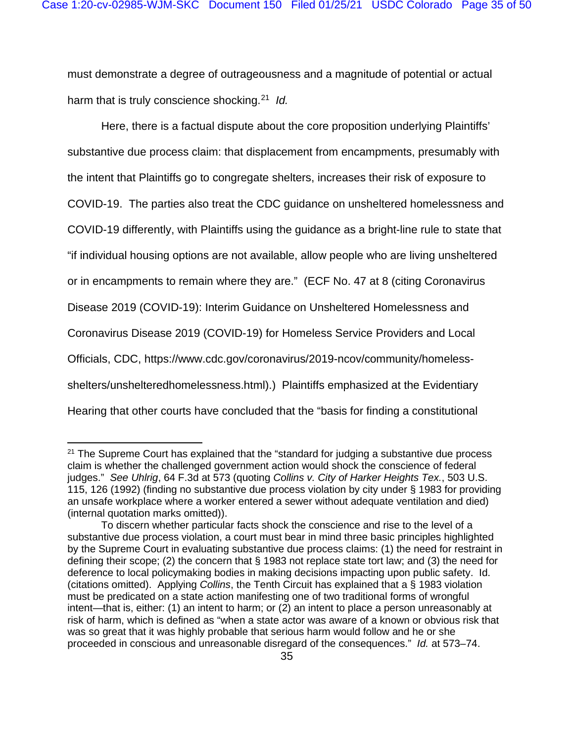must demonstrate a degree of outrageousness and a magnitude of potential or actual harm that is truly conscience shocking.[21](#page-34-0) *Id.*

Here, there is a factual dispute about the core proposition underlying Plaintiffs' substantive due process claim: that displacement from encampments, presumably with the intent that Plaintiffs go to congregate shelters, increases their risk of exposure to COVID-19. The parties also treat the CDC guidance on unsheltered homelessness and COVID-19 differently, with Plaintiffs using the guidance as a bright-line rule to state that "if individual housing options are not available, allow people who are living unsheltered or in encampments to remain where they are." (ECF No. 47 at 8 (citing Coronavirus Disease 2019 (COVID-19): Interim Guidance on Unsheltered Homelessness and Coronavirus Disease 2019 (COVID-19) for Homeless Service Providers and Local Officials, CDC, https://www.cdc.gov/coronavirus/2019-ncov/community/homelessshelters/unshelteredhomelessness.html).) Plaintiffs emphasized at the Evidentiary Hearing that other courts have concluded that the "basis for finding a constitutional

<span id="page-34-0"></span> $21$  The Supreme Court has explained that the "standard for judging a substantive due process claim is whether the challenged government action would shock the conscience of federal judges." *See Uhlrig*, 64 F.3d at 573 (quoting *Collins v. City of Harker Heights Tex.*, 503 U.S. 115, 126 (1992) (finding no substantive due process violation by city under § 1983 for providing an unsafe workplace where a worker entered a sewer without adequate ventilation and died) (internal quotation marks omitted)).

To discern whether particular facts shock the conscience and rise to the level of a substantive due process violation, a court must bear in mind three basic principles highlighted by the Supreme Court in evaluating substantive due process claims: (1) the need for restraint in defining their scope; (2) the concern that § 1983 not replace state tort law; and (3) the need for deference to local policymaking bodies in making decisions impacting upon public safety. Id. (citations omitted). Applying *Collins*, the Tenth Circuit has explained that a § 1983 violation must be predicated on a state action manifesting one of two traditional forms of wrongful intent—that is, either: (1) an intent to harm; or (2) an intent to place a person unreasonably at risk of harm, which is defined as "when a state actor was aware of a known or obvious risk that was so great that it was highly probable that serious harm would follow and he or she proceeded in conscious and unreasonable disregard of the consequences." *Id.* at 573–74.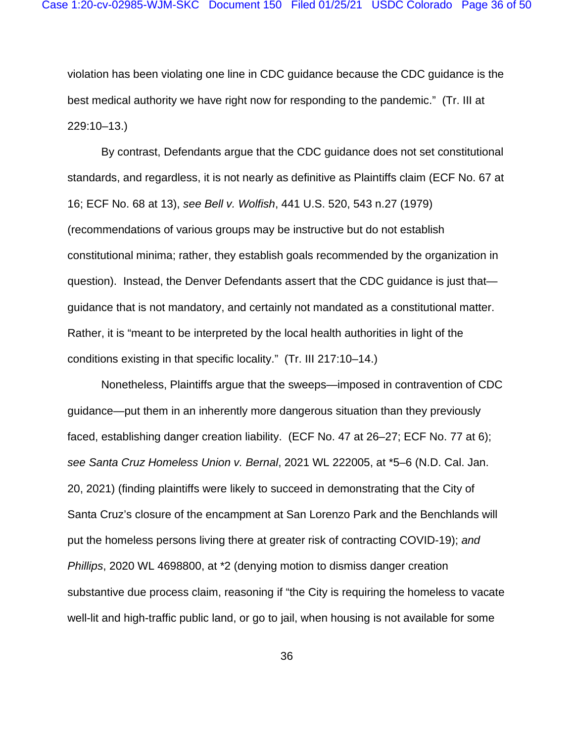violation has been violating one line in CDC guidance because the CDC guidance is the best medical authority we have right now for responding to the pandemic." (Tr. III at 229:10–13.)

By contrast, Defendants argue that the CDC guidance does not set constitutional standards, and regardless, it is not nearly as definitive as Plaintiffs claim (ECF No. 67 at 16; ECF No. 68 at 13), *see Bell v. Wolfish*, 441 U.S. 520, 543 n.27 (1979) (recommendations of various groups may be instructive but do not establish constitutional minima; rather, they establish goals recommended by the organization in question). Instead, the Denver Defendants assert that the CDC guidance is just that guidance that is not mandatory, and certainly not mandated as a constitutional matter. Rather, it is "meant to be interpreted by the local health authorities in light of the conditions existing in that specific locality." (Tr. III 217:10–14.)

Nonetheless, Plaintiffs argue that the sweeps—imposed in contravention of CDC guidance—put them in an inherently more dangerous situation than they previously faced, establishing danger creation liability. (ECF No. 47 at 26–27; ECF No. 77 at 6); *see Santa Cruz Homeless Union v. Bernal*, 2021 WL 222005, at \*5–6 (N.D. Cal. Jan. 20, 2021) (finding plaintiffs were likely to succeed in demonstrating that the City of Santa Cruz's closure of the encampment at San Lorenzo Park and the Benchlands will put the homeless persons living there at greater risk of contracting COVID-19); *and Phillips*, 2020 WL 4698800, at \*2 (denying motion to dismiss danger creation substantive due process claim, reasoning if "the City is requiring the homeless to vacate well-lit and high-traffic public land, or go to jail, when housing is not available for some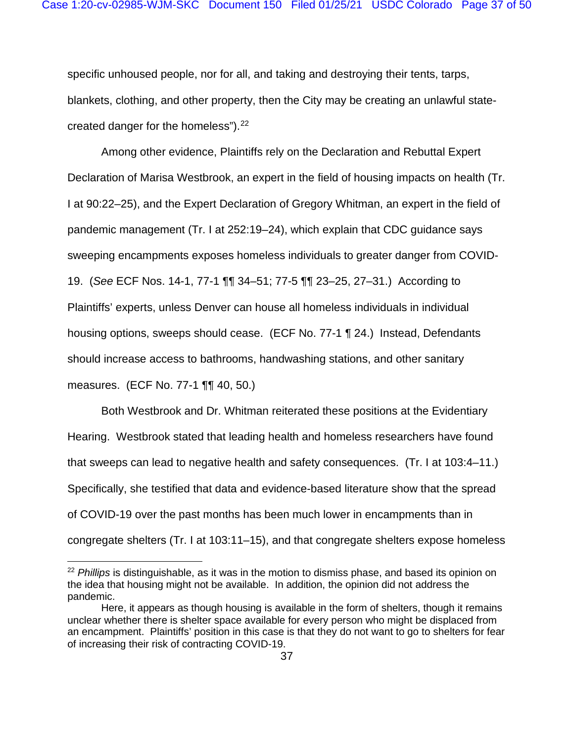specific unhoused people, nor for all, and taking and destroying their tents, tarps, blankets, clothing, and other property, then the City may be creating an unlawful state-created danger for the homeless").<sup>[22](#page-36-0)</sup>

Among other evidence, Plaintiffs rely on the Declaration and Rebuttal Expert Declaration of Marisa Westbrook, an expert in the field of housing impacts on health (Tr. I at 90:22–25), and the Expert Declaration of Gregory Whitman, an expert in the field of pandemic management (Tr. I at 252:19–24), which explain that CDC guidance says sweeping encampments exposes homeless individuals to greater danger from COVID-19. (*See* ECF Nos. 14-1, 77-1 ¶¶ 34–51; 77-5 ¶¶ 23–25, 27–31.) According to Plaintiffs' experts, unless Denver can house all homeless individuals in individual housing options, sweeps should cease. (ECF No. 77-1 ¶ 24.) Instead, Defendants should increase access to bathrooms, handwashing stations, and other sanitary measures. (ECF No. 77-1 ¶¶ 40, 50.)

Both Westbrook and Dr. Whitman reiterated these positions at the Evidentiary Hearing. Westbrook stated that leading health and homeless researchers have found that sweeps can lead to negative health and safety consequences. (Tr. I at 103:4–11.) Specifically, she testified that data and evidence-based literature show that the spread of COVID-19 over the past months has been much lower in encampments than in congregate shelters (Tr. I at 103:11–15), and that congregate shelters expose homeless

<span id="page-36-0"></span><sup>&</sup>lt;sup>22</sup> Phillips is distinguishable, as it was in the motion to dismiss phase, and based its opinion on the idea that housing might not be available. In addition, the opinion did not address the pandemic.

Here, it appears as though housing is available in the form of shelters, though it remains unclear whether there is shelter space available for every person who might be displaced from an encampment. Plaintiffs' position in this case is that they do not want to go to shelters for fear of increasing their risk of contracting COVID-19.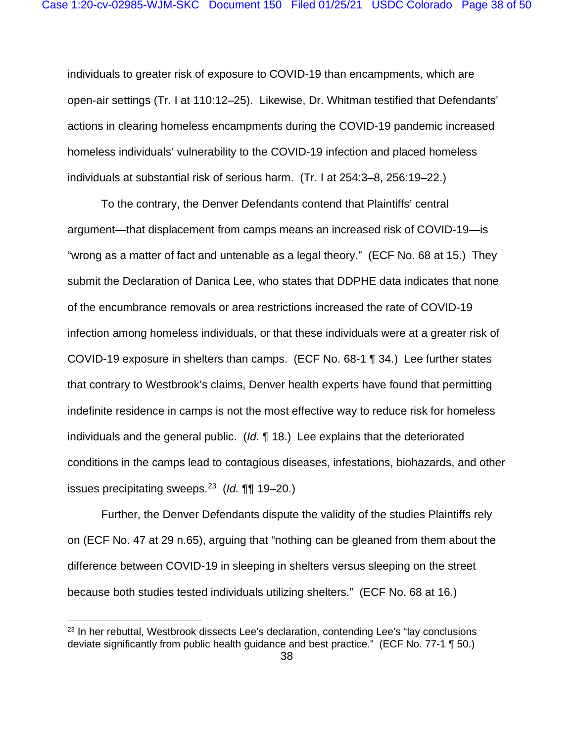individuals to greater risk of exposure to COVID-19 than encampments, which are open-air settings (Tr. I at 110:12–25). Likewise, Dr. Whitman testified that Defendants' actions in clearing homeless encampments during the COVID-19 pandemic increased homeless individuals' vulnerability to the COVID-19 infection and placed homeless individuals at substantial risk of serious harm. (Tr. I at 254:3–8, 256:19–22.)

To the contrary, the Denver Defendants contend that Plaintiffs' central argument—that displacement from camps means an increased risk of COVID-19—is "wrong as a matter of fact and untenable as a legal theory." (ECF No. 68 at 15.) They submit the Declaration of Danica Lee, who states that DDPHE data indicates that none of the encumbrance removals or area restrictions increased the rate of COVID-19 infection among homeless individuals, or that these individuals were at a greater risk of COVID-19 exposure in shelters than camps. (ECF No. 68-1 ¶ 34.) Lee further states that contrary to Westbrook's claims, Denver health experts have found that permitting indefinite residence in camps is not the most effective way to reduce risk for homeless individuals and the general public. (*Id.* ¶ 18.) Lee explains that the deteriorated conditions in the camps lead to contagious diseases, infestations, biohazards, and other issues precipitating sweeps.[23](#page-37-0) (*Id.* ¶¶ 19–20.)

Further, the Denver Defendants dispute the validity of the studies Plaintiffs rely on (ECF No. 47 at 29 n.65), arguing that "nothing can be gleaned from them about the difference between COVID-19 in sleeping in shelters versus sleeping on the street because both studies tested individuals utilizing shelters." (ECF No. 68 at 16.)

<span id="page-37-0"></span> $23$  In her rebuttal, Westbrook dissects Lee's declaration, contending Lee's "lay conclusions" deviate significantly from public health guidance and best practice." (ECF No. 77-1 ¶ 50.)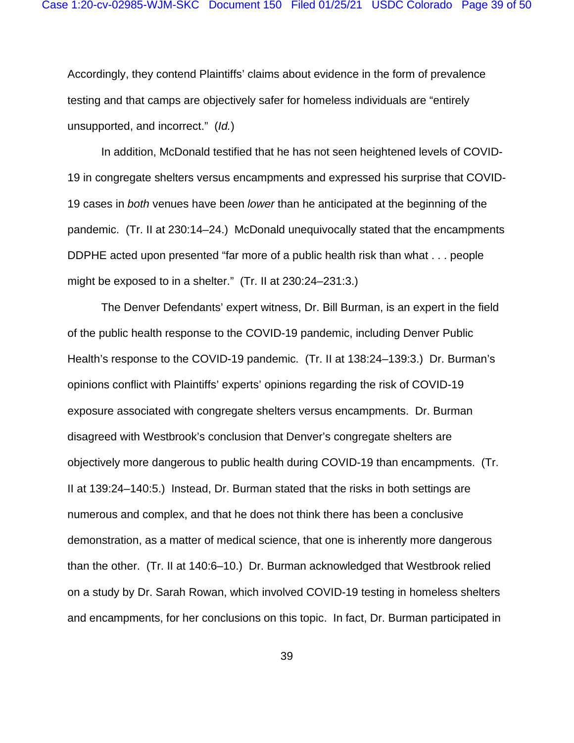Accordingly, they contend Plaintiffs' claims about evidence in the form of prevalence testing and that camps are objectively safer for homeless individuals are "entirely unsupported, and incorrect." (*Id.*)

In addition, McDonald testified that he has not seen heightened levels of COVID-19 in congregate shelters versus encampments and expressed his surprise that COVID-19 cases in *both* venues have been *lower* than he anticipated at the beginning of the pandemic. (Tr. II at 230:14–24.) McDonald unequivocally stated that the encampments DDPHE acted upon presented "far more of a public health risk than what . . . people might be exposed to in a shelter." (Tr. II at 230:24–231:3.)

The Denver Defendants' expert witness, Dr. Bill Burman, is an expert in the field of the public health response to the COVID-19 pandemic, including Denver Public Health's response to the COVID-19 pandemic. (Tr. II at 138:24–139:3.) Dr. Burman's opinions conflict with Plaintiffs' experts' opinions regarding the risk of COVID-19 exposure associated with congregate shelters versus encampments. Dr. Burman disagreed with Westbrook's conclusion that Denver's congregate shelters are objectively more dangerous to public health during COVID-19 than encampments. (Tr. II at 139:24–140:5.) Instead, Dr. Burman stated that the risks in both settings are numerous and complex, and that he does not think there has been a conclusive demonstration, as a matter of medical science, that one is inherently more dangerous than the other. (Tr. II at 140:6–10.) Dr. Burman acknowledged that Westbrook relied on a study by Dr. Sarah Rowan, which involved COVID-19 testing in homeless shelters and encampments, for her conclusions on this topic. In fact, Dr. Burman participated in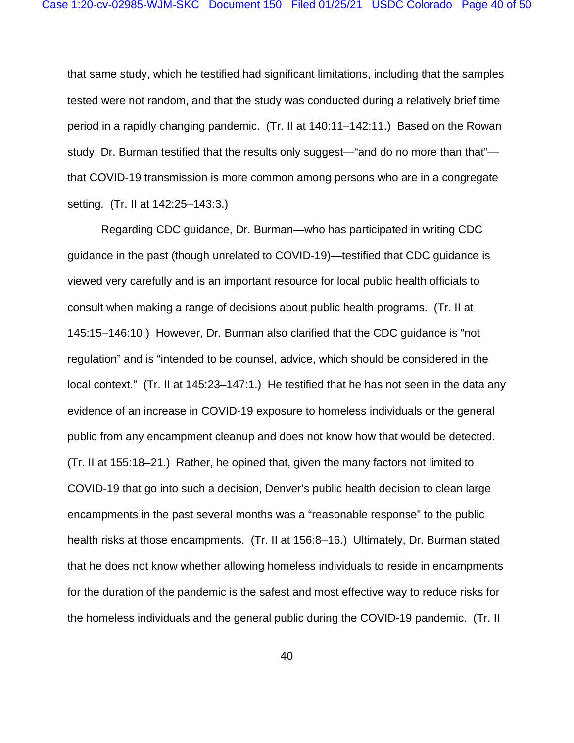that same study, which he testified had significant limitations, including that the samples tested were not random, and that the study was conducted during a relatively brief time period in a rapidly changing pandemic. (Tr. II at 140:11–142:11.) Based on the Rowan study, Dr. Burman testified that the results only suggest—"and do no more than that" that COVID-19 transmission is more common among persons who are in a congregate setting. (Tr. II at 142:25–143:3.)

Regarding CDC guidance, Dr. Burman—who has participated in writing CDC guidance in the past (though unrelated to COVID-19)—testified that CDC guidance is viewed very carefully and is an important resource for local public health officials to consult when making a range of decisions about public health programs. (Tr. II at 145:15–146:10.) However, Dr. Burman also clarified that the CDC guidance is "not regulation" and is "intended to be counsel, advice, which should be considered in the local context." (Tr. II at 145:23–147:1.) He testified that he has not seen in the data any evidence of an increase in COVID-19 exposure to homeless individuals or the general public from any encampment cleanup and does not know how that would be detected. (Tr. II at 155:18–21.) Rather, he opined that, given the many factors not limited to COVID-19 that go into such a decision, Denver's public health decision to clean large encampments in the past several months was a "reasonable response" to the public health risks at those encampments. (Tr. II at 156:8–16.) Ultimately, Dr. Burman stated that he does not know whether allowing homeless individuals to reside in encampments for the duration of the pandemic is the safest and most effective way to reduce risks for the homeless individuals and the general public during the COVID-19 pandemic. (Tr. II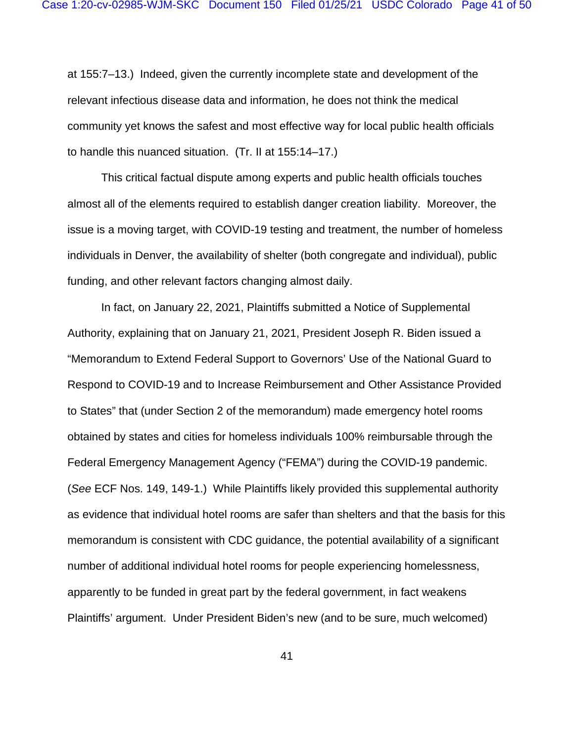at 155:7–13.) Indeed, given the currently incomplete state and development of the relevant infectious disease data and information, he does not think the medical community yet knows the safest and most effective way for local public health officials to handle this nuanced situation. (Tr. II at 155:14–17.)

This critical factual dispute among experts and public health officials touches almost all of the elements required to establish danger creation liability. Moreover, the issue is a moving target, with COVID-19 testing and treatment, the number of homeless individuals in Denver, the availability of shelter (both congregate and individual), public funding, and other relevant factors changing almost daily.

In fact, on January 22, 2021, Plaintiffs submitted a Notice of Supplemental Authority, explaining that on January 21, 2021, President Joseph R. Biden issued a "Memorandum to Extend Federal Support to Governors' Use of the National Guard to Respond to COVID-19 and to Increase Reimbursement and Other Assistance Provided to States" that (under Section 2 of the memorandum) made emergency hotel rooms obtained by states and cities for homeless individuals 100% reimbursable through the Federal Emergency Management Agency ("FEMA") during the COVID-19 pandemic. (*See* ECF Nos. 149, 149-1.) While Plaintiffs likely provided this supplemental authority as evidence that individual hotel rooms are safer than shelters and that the basis for this memorandum is consistent with CDC guidance, the potential availability of a significant number of additional individual hotel rooms for people experiencing homelessness, apparently to be funded in great part by the federal government, in fact weakens Plaintiffs' argument. Under President Biden's new (and to be sure, much welcomed)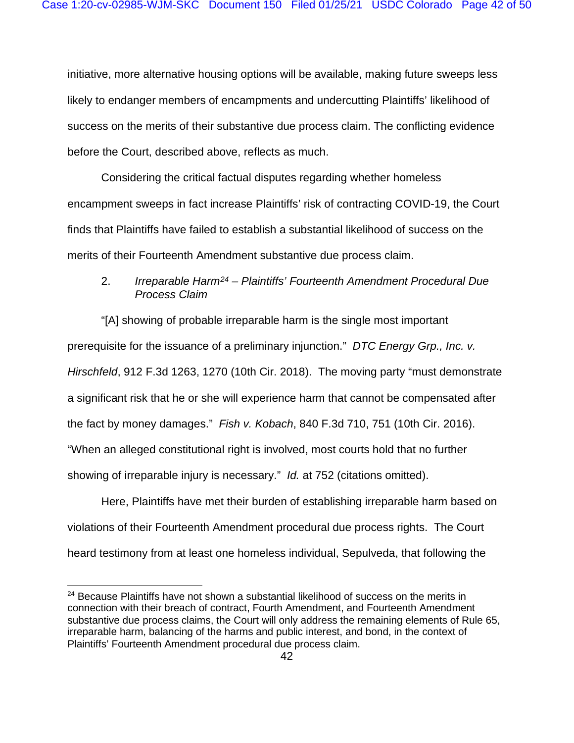initiative, more alternative housing options will be available, making future sweeps less likely to endanger members of encampments and undercutting Plaintiffs' likelihood of success on the merits of their substantive due process claim. The conflicting evidence before the Court, described above, reflects as much.

Considering the critical factual disputes regarding whether homeless encampment sweeps in fact increase Plaintiffs' risk of contracting COVID-19, the Court finds that Plaintiffs have failed to establish a substantial likelihood of success on the merits of their Fourteenth Amendment substantive due process claim.

# 2. *Irreparable Harm[24](#page-41-0) – Plaintiffs' Fourteenth Amendment Procedural Due Process Claim*

"[A] showing of probable irreparable harm is the single most important prerequisite for the issuance of a preliminary injunction." *DTC Energy Grp., Inc. v. Hirschfeld*, 912 F.3d 1263, 1270 (10th Cir. 2018). The moving party "must demonstrate a significant risk that he or she will experience harm that cannot be compensated after the fact by money damages." *Fish v. Kobach*, 840 F.3d 710, 751 (10th Cir. 2016). "When an alleged constitutional right is involved, most courts hold that no further showing of irreparable injury is necessary." *Id.* at 752 (citations omitted).

Here, Plaintiffs have met their burden of establishing irreparable harm based on violations of their Fourteenth Amendment procedural due process rights. The Court heard testimony from at least one homeless individual, Sepulveda, that following the

<span id="page-41-0"></span> $24$  Because Plaintiffs have not shown a substantial likelihood of success on the merits in connection with their breach of contract, Fourth Amendment, and Fourteenth Amendment substantive due process claims, the Court will only address the remaining elements of Rule 65, irreparable harm, balancing of the harms and public interest, and bond, in the context of Plaintiffs' Fourteenth Amendment procedural due process claim.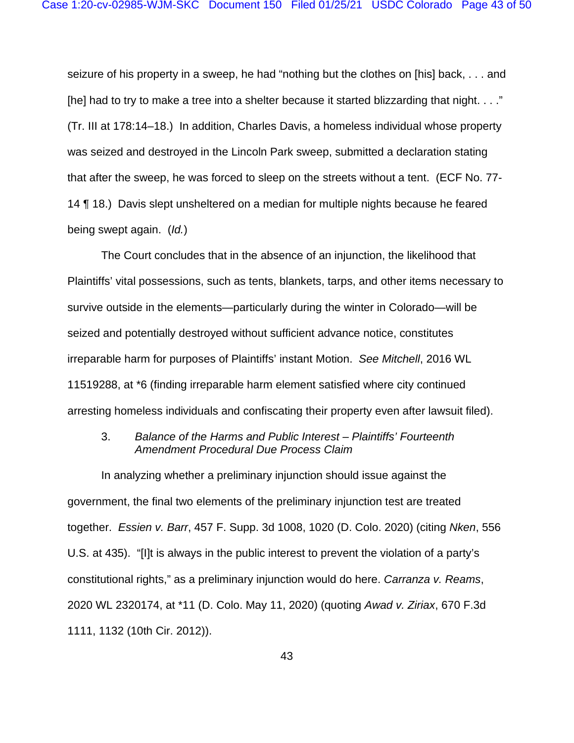seizure of his property in a sweep, he had "nothing but the clothes on [his] back, . . . and [he] had to try to make a tree into a shelter because it started blizzarding that night. . . ." (Tr. III at 178:14–18.) In addition, Charles Davis, a homeless individual whose property was seized and destroyed in the Lincoln Park sweep, submitted a declaration stating that after the sweep, he was forced to sleep on the streets without a tent. (ECF No. 77- 14 ¶ 18.) Davis slept unsheltered on a median for multiple nights because he feared being swept again. (*Id.*)

The Court concludes that in the absence of an injunction, the likelihood that Plaintiffs' vital possessions, such as tents, blankets, tarps, and other items necessary to survive outside in the elements—particularly during the winter in Colorado—will be seized and potentially destroyed without sufficient advance notice, constitutes irreparable harm for purposes of Plaintiffs' instant Motion. *See Mitchell*, 2016 WL 11519288, at \*6 (finding irreparable harm element satisfied where city continued arresting homeless individuals and confiscating their property even after lawsuit filed).

### 3. *Balance of the Harms and Public Interest – Plaintiffs' Fourteenth Amendment Procedural Due Process Claim*

In analyzing whether a preliminary injunction should issue against the government, the final two elements of the preliminary injunction test are treated together. *Essien v. Barr*, 457 F. Supp. 3d 1008, 1020 (D. Colo. 2020) (citing *Nken*, 556 U.S. at 435). "[I]t is always in the public interest to prevent the violation of a party's constitutional rights," as a preliminary injunction would do here. *Carranza v. Reams*, 2020 WL 2320174, at \*11 (D. Colo. May 11, 2020) (quoting *Awad v. Ziriax*, 670 F.3d 1111, 1132 (10th Cir. 2012)).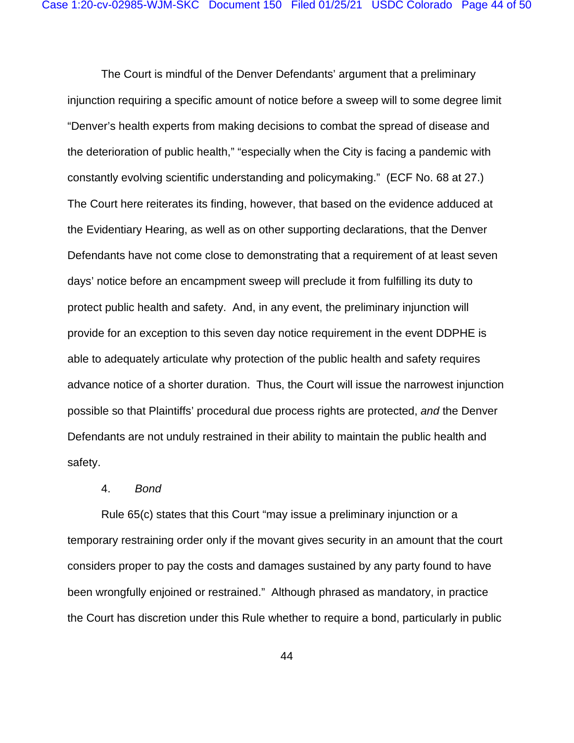The Court is mindful of the Denver Defendants' argument that a preliminary injunction requiring a specific amount of notice before a sweep will to some degree limit "Denver's health experts from making decisions to combat the spread of disease and the deterioration of public health," "especially when the City is facing a pandemic with constantly evolving scientific understanding and policymaking." (ECF No. 68 at 27.) The Court here reiterates its finding, however, that based on the evidence adduced at the Evidentiary Hearing, as well as on other supporting declarations, that the Denver Defendants have not come close to demonstrating that a requirement of at least seven days' notice before an encampment sweep will preclude it from fulfilling its duty to protect public health and safety. And, in any event, the preliminary injunction will provide for an exception to this seven day notice requirement in the event DDPHE is able to adequately articulate why protection of the public health and safety requires advance notice of a shorter duration. Thus, the Court will issue the narrowest injunction possible so that Plaintiffs' procedural due process rights are protected, *and* the Denver Defendants are not unduly restrained in their ability to maintain the public health and safety.

### 4. *Bond*

Rule 65(c) states that this Court "may issue a preliminary injunction or a temporary restraining order only if the movant gives security in an amount that the court considers proper to pay the costs and damages sustained by any party found to have been wrongfully enjoined or restrained." Although phrased as mandatory, in practice the Court has discretion under this Rule whether to require a bond, particularly in public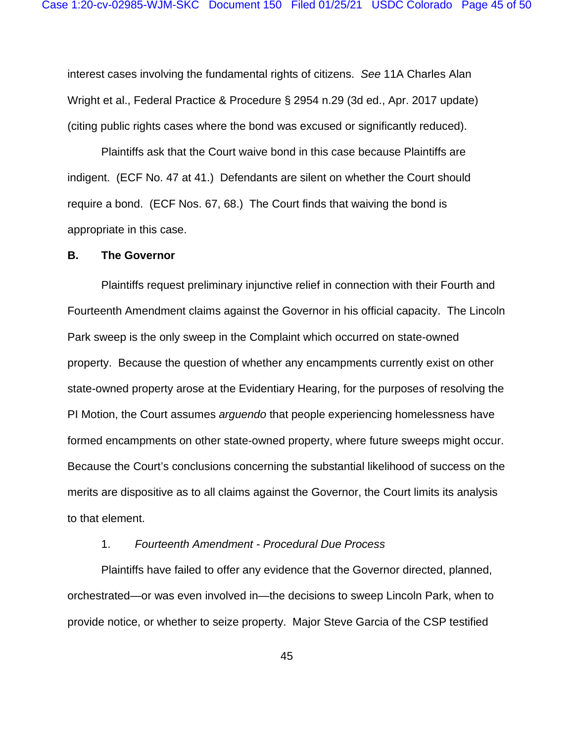interest cases involving the fundamental rights of citizens. *See* 11A Charles Alan Wright et al., Federal Practice & Procedure § 2954 n.29 (3d ed., Apr. 2017 update) (citing public rights cases where the bond was excused or significantly reduced).

Plaintiffs ask that the Court waive bond in this case because Plaintiffs are indigent. (ECF No. 47 at 41.) Defendants are silent on whether the Court should require a bond. (ECF Nos. 67, 68.) The Court finds that waiving the bond is appropriate in this case.

#### **B. The Governor**

Plaintiffs request preliminary injunctive relief in connection with their Fourth and Fourteenth Amendment claims against the Governor in his official capacity. The Lincoln Park sweep is the only sweep in the Complaint which occurred on state-owned property. Because the question of whether any encampments currently exist on other state-owned property arose at the Evidentiary Hearing, for the purposes of resolving the PI Motion, the Court assumes *arguendo* that people experiencing homelessness have formed encampments on other state-owned property, where future sweeps might occur. Because the Court's conclusions concerning the substantial likelihood of success on the merits are dispositive as to all claims against the Governor, the Court limits its analysis to that element.

### 1. *Fourteenth Amendment - Procedural Due Process*

Plaintiffs have failed to offer any evidence that the Governor directed, planned, orchestrated—or was even involved in—the decisions to sweep Lincoln Park, when to provide notice, or whether to seize property. Major Steve Garcia of the CSP testified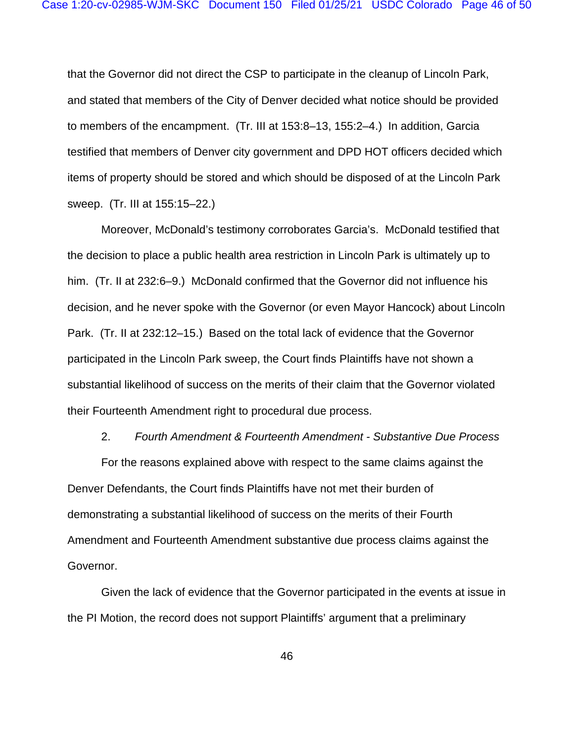that the Governor did not direct the CSP to participate in the cleanup of Lincoln Park, and stated that members of the City of Denver decided what notice should be provided to members of the encampment. (Tr. III at 153:8–13, 155:2–4.) In addition, Garcia testified that members of Denver city government and DPD HOT officers decided which items of property should be stored and which should be disposed of at the Lincoln Park sweep. (Tr. III at 155:15–22.)

Moreover, McDonald's testimony corroborates Garcia's. McDonald testified that the decision to place a public health area restriction in Lincoln Park is ultimately up to him. (Tr. II at 232:6–9.) McDonald confirmed that the Governor did not influence his decision, and he never spoke with the Governor (or even Mayor Hancock) about Lincoln Park. (Tr. II at 232:12–15.) Based on the total lack of evidence that the Governor participated in the Lincoln Park sweep, the Court finds Plaintiffs have not shown a substantial likelihood of success on the merits of their claim that the Governor violated their Fourteenth Amendment right to procedural due process.

#### 2. *Fourth Amendment & Fourteenth Amendment - Substantive Due Process*

For the reasons explained above with respect to the same claims against the Denver Defendants, the Court finds Plaintiffs have not met their burden of demonstrating a substantial likelihood of success on the merits of their Fourth Amendment and Fourteenth Amendment substantive due process claims against the Governor.

Given the lack of evidence that the Governor participated in the events at issue in the PI Motion, the record does not support Plaintiffs' argument that a preliminary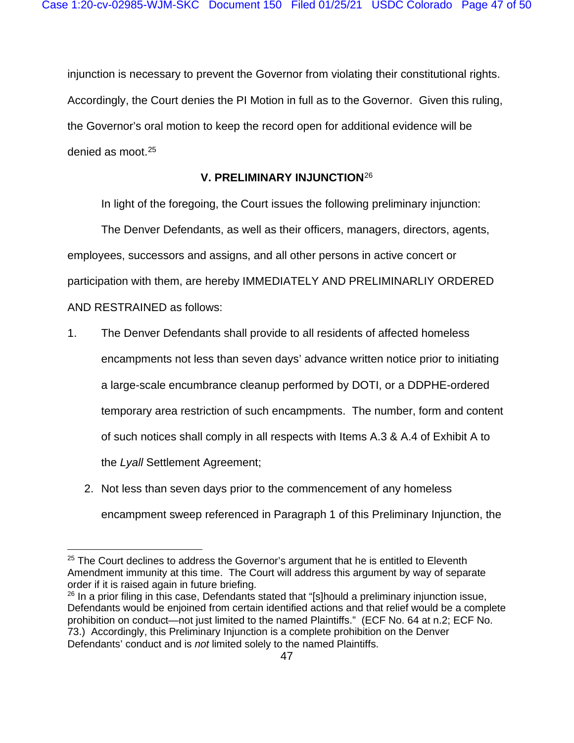injunction is necessary to prevent the Governor from violating their constitutional rights. Accordingly, the Court denies the PI Motion in full as to the Governor. Given this ruling, the Governor's oral motion to keep the record open for additional evidence will be denied as moot.[25](#page-46-0)

# **V. PRELIMINARY INJUNCTION**[26](#page-46-1)

In light of the foregoing, the Court issues the following preliminary injunction:

The Denver Defendants, as well as their officers, managers, directors, agents, employees, successors and assigns, and all other persons in active concert or participation with them, are hereby IMMEDIATELY AND PRELIMINARLIY ORDERED AND RESTRAINED as follows:

- 1. The Denver Defendants shall provide to all residents of affected homeless encampments not less than seven days' advance written notice prior to initiating a large-scale encumbrance cleanup performed by DOTI, or a DDPHE-ordered temporary area restriction of such encampments. The number, form and content of such notices shall comply in all respects with Items A.3 & A.4 of Exhibit A to the *Lyall* Settlement Agreement;
	- 2. Not less than seven days prior to the commencement of any homeless encampment sweep referenced in Paragraph 1 of this Preliminary Injunction, the

<span id="page-46-0"></span> $25$  The Court declines to address the Governor's argument that he is entitled to Eleventh Amendment immunity at this time. The Court will address this argument by way of separate order if it is raised again in future briefing.

<span id="page-46-1"></span> $26$  In a prior filing in this case, Defendants stated that "[s]hould a preliminary injunction issue, Defendants would be enjoined from certain identified actions and that relief would be a complete prohibition on conduct—not just limited to the named Plaintiffs." (ECF No. 64 at n.2; ECF No. 73.) Accordingly, this Preliminary Injunction is a complete prohibition on the Denver Defendants' conduct and is *not* limited solely to the named Plaintiffs.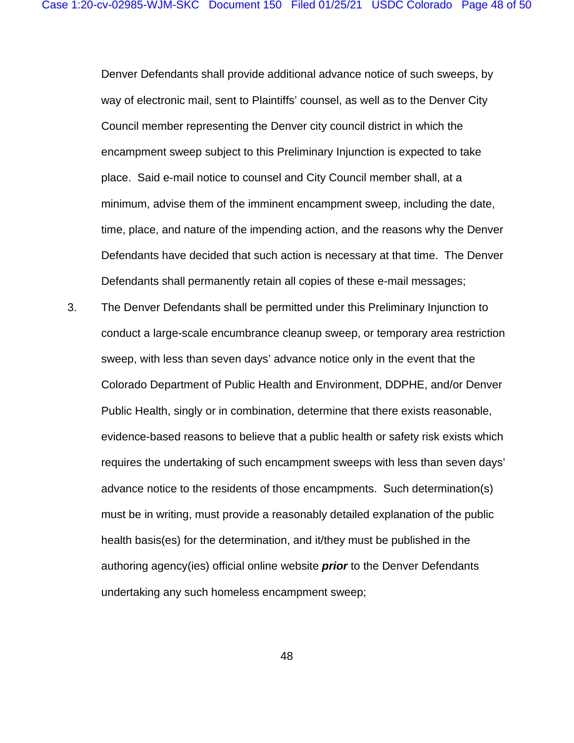Denver Defendants shall provide additional advance notice of such sweeps, by way of electronic mail, sent to Plaintiffs' counsel, as well as to the Denver City Council member representing the Denver city council district in which the encampment sweep subject to this Preliminary Injunction is expected to take place. Said e-mail notice to counsel and City Council member shall, at a minimum, advise them of the imminent encampment sweep, including the date, time, place, and nature of the impending action, and the reasons why the Denver Defendants have decided that such action is necessary at that time. The Denver Defendants shall permanently retain all copies of these e-mail messages;

3. The Denver Defendants shall be permitted under this Preliminary Injunction to conduct a large-scale encumbrance cleanup sweep, or temporary area restriction sweep, with less than seven days' advance notice only in the event that the Colorado Department of Public Health and Environment, DDPHE, and/or Denver Public Health, singly or in combination, determine that there exists reasonable, evidence-based reasons to believe that a public health or safety risk exists which requires the undertaking of such encampment sweeps with less than seven days' advance notice to the residents of those encampments. Such determination(s) must be in writing, must provide a reasonably detailed explanation of the public health basis(es) for the determination, and it/they must be published in the authoring agency(ies) official online website *prior* to the Denver Defendants undertaking any such homeless encampment sweep;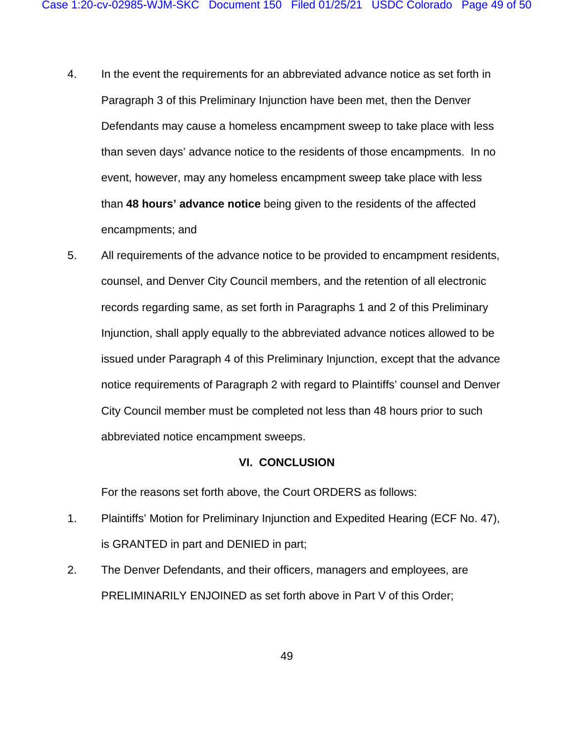- 4. In the event the requirements for an abbreviated advance notice as set forth in Paragraph 3 of this Preliminary Injunction have been met, then the Denver Defendants may cause a homeless encampment sweep to take place with less than seven days' advance notice to the residents of those encampments. In no event, however, may any homeless encampment sweep take place with less than **48 hours' advance notice** being given to the residents of the affected encampments; and
- 5. All requirements of the advance notice to be provided to encampment residents, counsel, and Denver City Council members, and the retention of all electronic records regarding same, as set forth in Paragraphs 1 and 2 of this Preliminary Injunction, shall apply equally to the abbreviated advance notices allowed to be issued under Paragraph 4 of this Preliminary Injunction, except that the advance notice requirements of Paragraph 2 with regard to Plaintiffs' counsel and Denver City Council member must be completed not less than 48 hours prior to such abbreviated notice encampment sweeps.

### **VI. CONCLUSION**

For the reasons set forth above, the Court ORDERS as follows:

- 1. Plaintiffs' Motion for Preliminary Injunction and Expedited Hearing (ECF No. 47), is GRANTED in part and DENIED in part;
- 2. The Denver Defendants, and their officers, managers and employees, are PRELIMINARILY ENJOINED as set forth above in Part V of this Order;